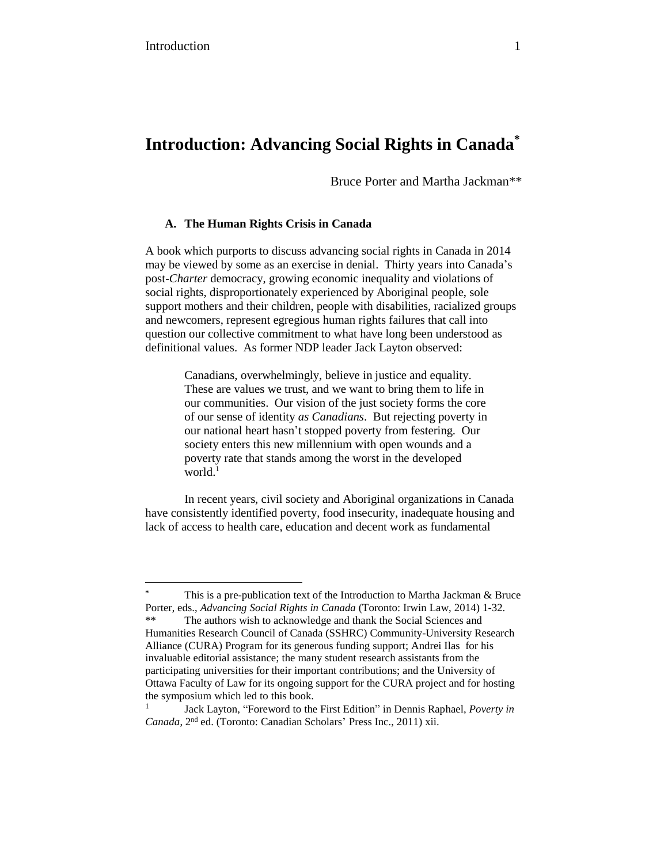# **Introduction: Advancing Social Rights in Canada\***

Bruce Porter and Martha Jackman\*\*

## **A. The Human Rights Crisis in Canada**

A book which purports to discuss advancing social rights in Canada in 2014 may be viewed by some as an exercise in denial. Thirty years into Canada's post-*Charter* democracy, growing economic inequality and violations of social rights, disproportionately experienced by Aboriginal people, sole support mothers and their children, people with disabilities, racialized groups and newcomers, represent egregious human rights failures that call into question our collective commitment to what have long been understood as definitional values. As former NDP leader Jack Layton observed:

> Canadians, overwhelmingly, believe in justice and equality. These are values we trust, and we want to bring them to life in our communities. Our vision of the just society forms the core of our sense of identity *as Canadians*. But rejecting poverty in our national heart hasn't stopped poverty from festering. Our society enters this new millennium with open wounds and a poverty rate that stands among the worst in the developed world.<sup>1</sup>

In recent years, civil society and Aboriginal organizations in Canada have consistently identified poverty, food insecurity, inadequate housing and lack of access to health care, education and decent work as fundamental

This is a pre-publication text of the Introduction to Martha Jackman & Bruce Porter, eds., *Advancing Social Rights in Canada* (Toronto: Irwin Law, 2014) 1-32. The authors wish to acknowledge and thank the Social Sciences and Humanities Research Council of Canada (SSHRC) Community-University Research Alliance (CURA) Program for its generous funding support; Andrei Ilas for his invaluable editorial assistance; the many student research assistants from the participating universities for their important contributions; and the University of Ottawa Faculty of Law for its ongoing support for the CURA project and for hosting the symposium which led to this book.

<sup>1</sup> Jack Layton, "Foreword to the First Edition" in Dennis Raphael, *Poverty in* Canada, 2<sup>nd</sup> ed. (Toronto: Canadian Scholars' Press Inc., 2011) xii.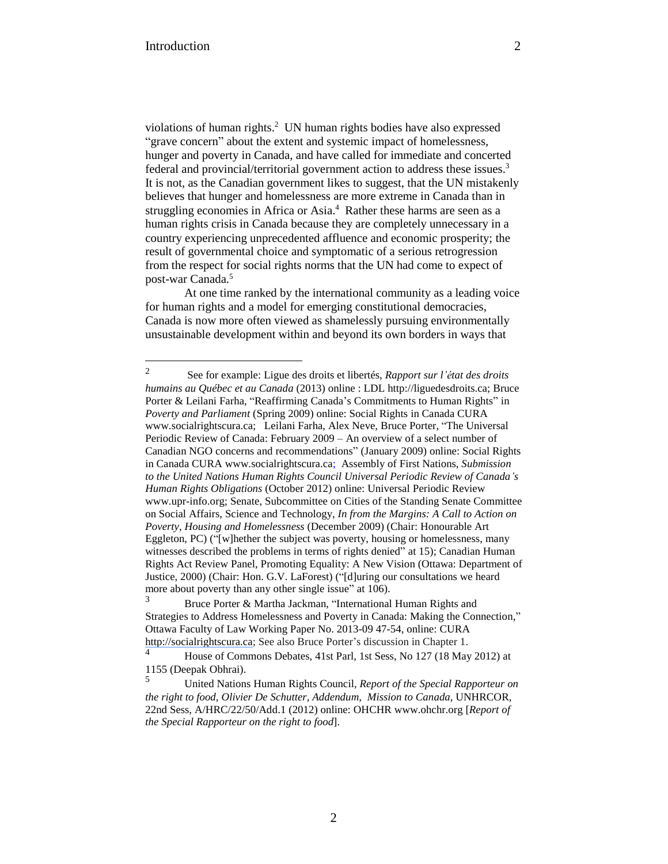violations of human rights.<sup>2</sup> UN human rights bodies have also expressed "grave concern" about the extent and systemic impact of homelessness, hunger and poverty in Canada, and have called for immediate and concerted federal and provincial/territorial government action to address these issues.<sup>3</sup> It is not, as the Canadian government likes to suggest, that the UN mistakenly believes that hunger and homelessness are more extreme in Canada than in struggling economies in Africa or Asia.<sup>4</sup> Rather these harms are seen as a human rights crisis in Canada because they are completely unnecessary in a country experiencing unprecedented affluence and economic prosperity; the result of governmental choice and symptomatic of a serious retrogression from the respect for social rights norms that the UN had come to expect of post-war Canada.<sup>5</sup>

At one time ranked by the international community as a leading voice for human rights and a model for emerging constitutional democracies, Canada is now more often viewed as shamelessly pursuing environmentally unsustainable development within and beyond its own borders in ways that

<sup>2</sup> See for example: Ligue des droits et libertés, *Rapport sur l'état des droits humains au Québec et au Canada* (2013) online : LDL http://liguedesdroits.ca; Bruce Porter & Leilani Farha, "Reaffirming Canada's Commitments to Human Rights" in *Poverty and Parliament* (Spring 2009) online: Social Rights in Canada CURA www.socialrightscura.ca; Leilani Farha, Alex Neve, Bruce Porter, "The Universal Periodic Review of Canada: February 2009 – An overview of a select number of Canadian NGO concerns and recommendations" (January 2009) online: Social Rights in Canada CURA www.socialrightscura.ca; Assembly of First Nations, *Submission to the United Nations Human Rights Council Universal Periodic Review of Canada's Human Rights Obligations* (October 2012) online: Universal Periodic Review www.upr-info.org; Senate, Subcommittee on Cities of the Standing Senate Committee on Social Affairs, Science and Technology, *In from the Margins: A Call to Action on Poverty, Housing and Homelessness* (December 2009) (Chair: Honourable Art Eggleton, PC) ("[w]hether the subject was poverty, housing or homelessness, many witnesses described the problems in terms of rights denied" at 15); Canadian Human Rights Act Review Panel, [Promoting](http://publications.gc.ca/collections/collection/j2-168-2000e.pdf) Equality: A New Vision (Ottawa: Department of Justice, 2000) (Chair: Hon. G.V. LaForest) ("[d]uring our consultations we heard more about poverty than any other single issue" at 106).<br> $\frac{3}{\sqrt{2}}$  Pruce Portor & Martha Jackman "International"

Bruce Porter & Martha Jackman, "International Human Rights and Strategies to Address Homelessness and Poverty in Canada: Making the Connection," Ottawa Faculty of Law Working Paper No. 2013-09 47-54, online: CURA [http://socialrightscura.ca;](http://socialrightscura.ca/) See also Bruce Porter's discussion in Chapter 1.

<sup>4</sup> House of Commons Debates, 41st Parl, 1st Sess, No 127 (18 May 2012) at 1155 (Deepak Obhrai).

<sup>5</sup> United Nations Human Rights Council, *Report of the Special Rapporteur on the right to food, Olivier De Schutter, Addendum, Mission to Canada*, UNHRCOR, 22nd Sess, A/HRC/22/50/Add.1 (2012) online: OHCHR [www.ohchr.org](http://www.ohchr.org/documents/hrbodies/hrcouncil/regularsession/session22/ahrc2250add.1_english.pdf) [*Report of the Special Rapporteur on the right to food*].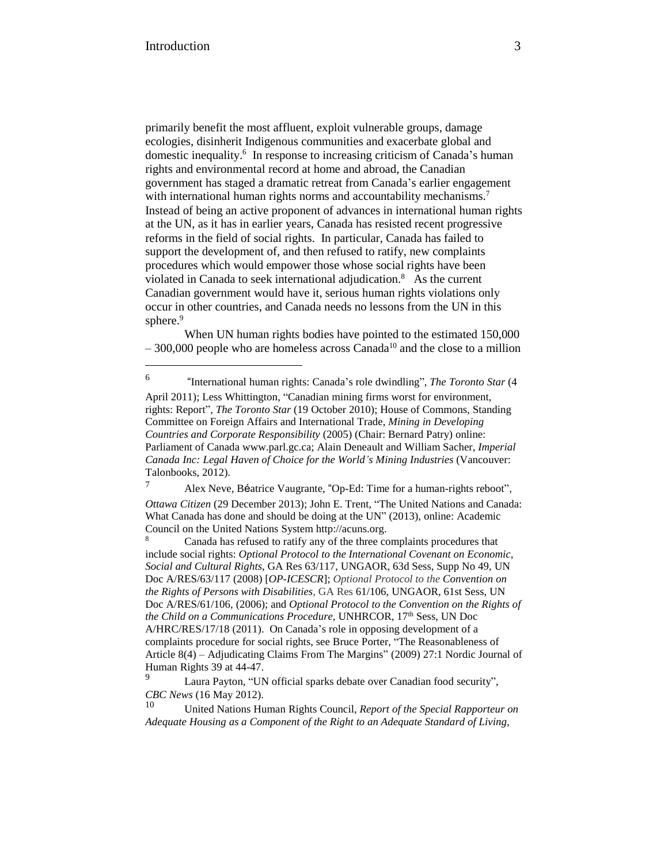primarily benefit the most affluent, exploit vulnerable groups, damage ecologies, disinherit Indigenous communities and exacerbate global and domestic inequality.<sup>6</sup> In response to increasing criticism of Canada's human rights and environmental record at home and abroad, the Canadian government has staged a dramatic retreat from Canada's earlier engagement with international human rights norms and accountability mechanisms.<sup>7</sup> Instead of being an active proponent of advances in international human rights at the UN, as it has in earlier years, Canada has resisted recent progressive reforms in the field of social rights. In particular, Canada has failed to support the development of, and then refused to ratify, new complaints procedures which would empower those whose social rights have been violated in Canada to seek international adjudication.<sup>8</sup> As the current Canadian government would have it, serious human rights violations only occur in other countries, and Canada needs no lessons from the UN in this sphere.<sup>9</sup>

When UN human rights bodies have pointed to the estimated 150,000  $-300,000$  people who are homeless across Canada<sup>10</sup> and the close to a million

6 "International human rights: Canada's role dwindling", *The Toronto Star* (4 April 2011); Less Whittington, "Canadian mining firms worst for environment, rights: Report", *The Toronto Star* (19 October 2010); House of Commons, Standing Committee on Foreign Affairs and International Trade, *Mining in Developing Countries and Corporate Responsibility* (2005) (Chair: Bernard Patry) online: Parliament of Canada www.parl.gc.ca; Alain Deneault and William Sacher, *Imperial Canada Inc: Legal Haven of Choice for the World's Mining Industries* (Vancouver: Talonbooks, 2012).

<sup>7</sup> Alex Neve, Béatrice [Vaugrante,](http://www.ottawacitizen.com/opinion/op-ed/time+human+rights+reboot/9332158/story.html) "Op-Ed: Time for a [human-rights](http://www.ottawacitizen.com/opinion/op-ed/time+human+rights+reboot/9332158/story.html) reboo[t"](http://www.ottawacitizen.com/opinion/op-ed/time+human+rights+reboot/9332158/story.html)[,](http://www.ottawacitizen.com/opinion/op-ed/time+human+rights+reboot/9332158/story.html) *[Ottawa](http://www.ottawacitizen.com/opinion/op-ed/time+human+rights+reboot/9332158/story.html) Citize[n](http://www.ottawacitizen.com/opinion/op-ed/time+human+rights+reboot/9332158/story.html)* (29 [December](http://www.ottawacitizen.com/opinion/op-ed/time+human+rights+reboot/9332158/story.html) 2013); John E. Trent, "The United Nations and Canada: What Canada has done and should be doing at the UN" [\(2](http://acuns.org/wp-content/uploads/2013/11/canadauneng-1.pdf)013), online: Academic Council on the United Nations System http://acuns.org.

8 Canada has refused to ratify any of the three complaints procedures that include social rights: *Optional Protocol to the International Covenant on Economic, Social and Cultural Rights*, GA Res 63/117, UNGAOR, 63d Sess, Supp No 49, UN Doc A/RES/63/117 (2008) [*OP-ICESCR*]; *Optional Protocol to the Convention on the Rights of Persons with Disabilities*, GA Res 61/106, UNGAOR, 61st Sess, UN Doc A/RES/61/106, (2006); and *Optional Protocol to the Convention on the Rights of the Child on a Communications Procedure,* UNHRCOR, 17th Sess, UN Doc A/HRC/RES/17/18 (2011). On Canada's role in opposing development of a complaints procedure for social rights, see Bruce Porter, "The Reasonableness of Article 8(4) – Adjudicating Claims From The Margins" (2009) 27:1 Nordic Journal of Human Rights 39 at 44-47.

Laura Payton, "UN official sparks debate over Canadian food security", *CBC News* (16 May 2012).

<sup>10</sup> United Nations Human Rights Council, *Report of the Special Rapporteur on Adequate Housing as a Component of the Right to an Adequate Standard of Living,*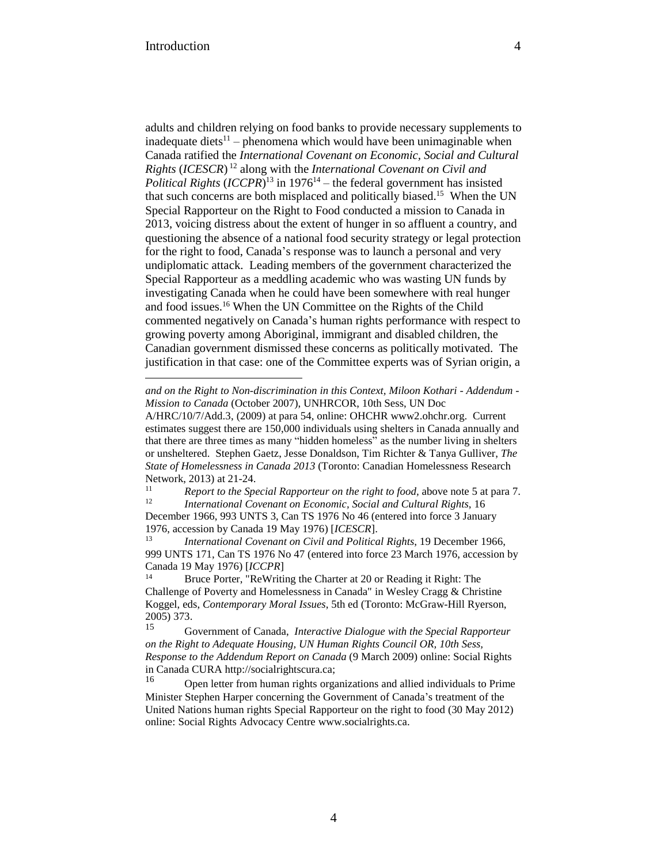adults and children relying on food banks to provide necessary supplements to inadequate diets<sup>11</sup> – phenomena which would have been unimaginable when Canada ratified the *International Covenant on Economic, Social and Cultural Rights* (*ICESCR*) <sup>12</sup> along with the *International Covenant on Civil and Political Rights* (*ICCPR*) <sup>13</sup> in 1976<sup>14</sup> – the federal government has insisted that such concerns are both misplaced and politically biased.<sup>15</sup> When the UN Special Rapporteur on the Right to Food conducted a mission to Canada in 2013, voicing distress about the extent of hunger in so affluent a country, and questioning the absence of a national food security strategy or legal protection for the right to food, Canada's response was to launch a personal and very undiplomatic attack. Leading members of the government characterized the Special Rapporteur as a meddling academic who was wasting UN funds by investigating Canada when he could have been somewhere with real hunger and food issues.<sup>16</sup> When the UN Committee on the Rights of the Child commented negatively on Canada's human rights performance with respect to growing poverty among Aboriginal, immigrant and disabled children, the Canadian government dismissed these concerns as politically motivated. The justification in that case: one of the Committee experts was of Syrian origin, a

<sup>11</sup> *Report to the Special Rapporteur on the right to food,* above note 5 at para 7. <sup>12</sup> *International Covenant on Economic, Social and Cultural Rights*, 16

December 1966, 993 UNTS 3, Can TS 1976 No 46 (entered into force 3 January 1976, accession by Canada 19 May 1976) [*ICESCR*].

<sup>13</sup> *International Covenant on Civil and Political Rights*, 19 December 1966, 999 UNTS 171, Can TS 1976 No 47 (entered into force 23 March 1976, accession by Canada 19 May 1976) [*ICCPR*]

<sup>14</sup> Bruce Porter, "ReWriting the Charter at 20 or Reading it Right: The Challenge of Poverty and Homelessness in Canada" in Wesley Cragg & Christine Koggel, eds, *Contemporary Moral Issues*, 5th ed (Toronto: McGraw-Hill Ryerson, 2005) 373.

<sup>15</sup> Government of Canada, *Interactive Dialogue with the Special Rapporteur on the Right to Adequate Housing, UN Human Rights Council OR, 10th Sess, Response to the Addendum Report on Canada* (9 March 2009) online: Social Rights in Canada CURA [http://socialrightscura.ca;](http://socialrightscura.ca/documents/international/goc%2520resp%2520to%2520mk%2520march%25202009.pdf)

<sup>16</sup> Open letter from human rights organizations and allied individuals to Prime Minister Stephen Harper concerning the Government of Canada's treatment of the United Nations human rights Special Rapporteur on the right to food (30 May 2012) online: Social Rights Advocacy Centre [www.socialrights.ca.](http://www.socialrights.ca/international/letter%2520to%2520pm%2520on%2520sr%2520final%2520-%2520en.pdf)

*and on the Right to Non-discrimination in this Context, Miloon Kothari - Addendum - Mission to Canada* (October 2007), UNHRCOR, 10th Sess, UN Doc

A/HRC/10/7/Add.3, (2009) at para 54, online: OHCHR www2.ohchr.org. Current estimates suggest there are 150,000 individuals using shelters in Canada annually and that there are three times as many "hidden homeless" as the number living in shelters or unsheltered. Stephen Gaetz, Jesse Donaldson, Tim Richter & Tanya Gulliver, *The State of Homelessness in Canada 2013* (Toronto: Canadian Homelessness Research Network, 2013) at 21-24.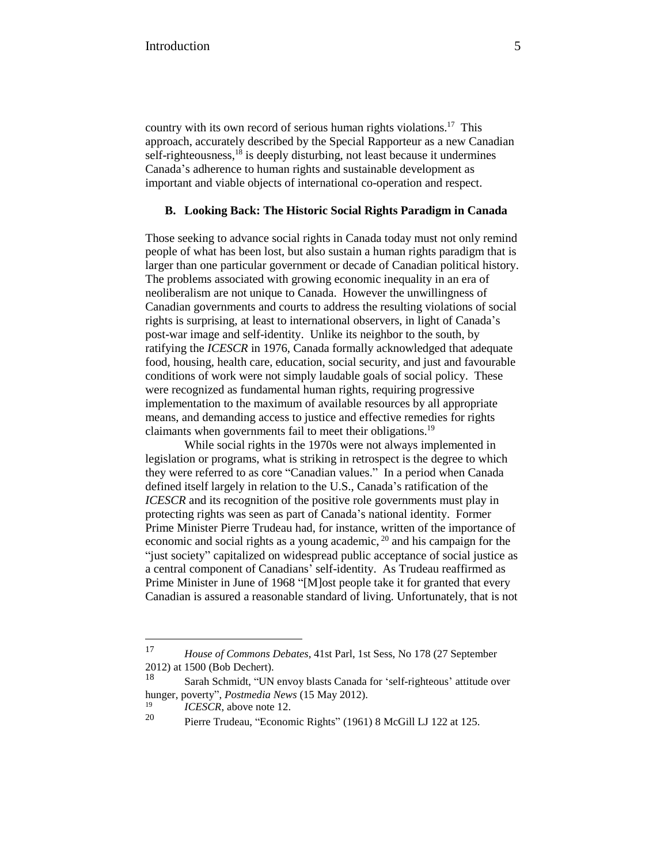country with its own record of serious human rights violations.<sup>17</sup> This approach, accurately described by the Special Rapporteur as a new Canadian self-righteousness,<sup>18</sup> is deeply disturbing, not least because it undermines Canada's adherence to human rights and sustainable development as important and viable objects of international co-operation and respect.

### **B. Looking Back: The Historic Social Rights Paradigm in Canada**

Those seeking to advance social rights in Canada today must not only remind people of what has been lost, but also sustain a human rights paradigm that is larger than one particular government or decade of Canadian political history. The problems associated with growing economic inequality in an era of neoliberalism are not unique to Canada. However the unwillingness of Canadian governments and courts to address the resulting violations of social rights is surprising, at least to international observers, in light of Canada's post-war image and self-identity. Unlike its neighbor to the south, by ratifying the *ICESCR* in 1976, Canada formally acknowledged that adequate food, housing, health care, education, social security, and just and favourable conditions of work were not simply laudable goals of social policy. These were recognized as fundamental human rights, requiring progressive implementation to the maximum of available resources by all appropriate means, and demanding access to justice and effective remedies for rights claimants when governments fail to meet their obligations.<sup>19</sup>

While social rights in the 1970s were not always implemented in legislation or programs, what is striking in retrospect is the degree to which they were referred to as core "Canadian values." In a period when Canada defined itself largely in relation to the U.S., Canada's ratification of the *ICESCR* and its recognition of the positive role governments must play in protecting rights was seen as part of Canada's national identity. Former Prime Minister Pierre Trudeau had, for instance, written of the importance of economic and social rights as a young academic, <sup>20</sup> and his campaign for the "just society" capitalized on widespread public acceptance of social justice as a central component of Canadians' self-identity. As Trudeau reaffirmed as Prime Minister in June of 1968 "[M]ost people take it for granted that every Canadian is assured a reasonable standard of living. Unfortunately, that is not

<sup>17</sup> *House of Commons Debates*, 41st Parl, 1st Sess, No 178 (27 September 2012) at 1500 (Bob Dechert).

<sup>18</sup> Sarah Schmidt, "UN envoy blasts Canada for 'self-righteous' attitude over hunger, poverty", *Postmedia News* (15 May 2012[\).](http://news.nationalpost.com/2012/05/15/un-envoy-blasts-canada-for-self-righteous-attitude-over-hunger-poverty/)

 $\frac{19}{20}$  *ICESCR*, above note 12.

<sup>20</sup> Pierre Trudeau, "Economic Rights" (1961) 8 McGill LJ 122 at 125.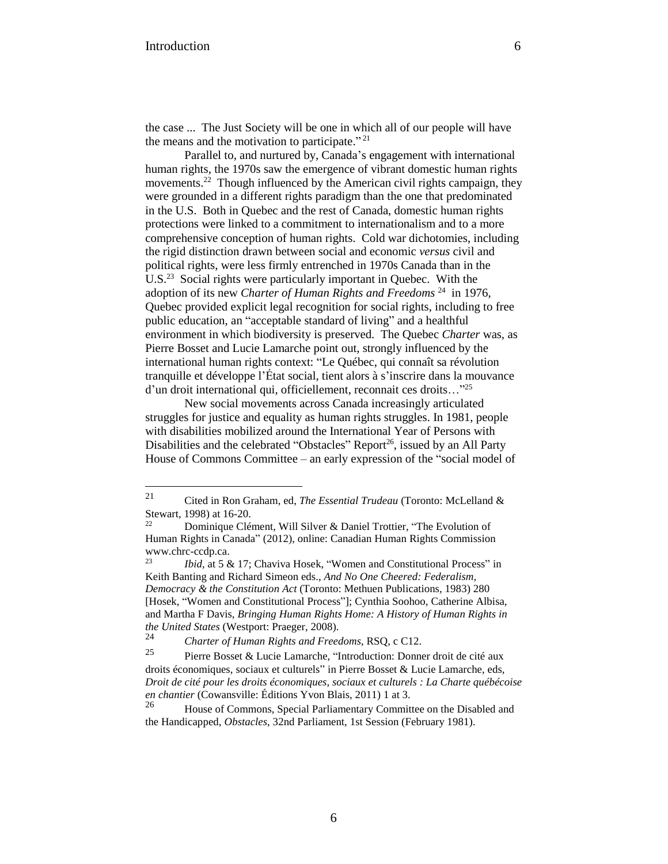the case ... The Just Society will be one in which all of our people will have the means and the motivation to participate."<sup>21</sup>

Parallel to, and nurtured by, Canada's engagement with international human rights, the 1970s saw the emergence of vibrant domestic human rights movements.<sup>22</sup> Though influenced by the American civil rights campaign, they were grounded in a different rights paradigm than the one that predominated in the U.S. Both in Quebec and the rest of Canada, domestic human rights protections were linked to a commitment to internationalism and to a more comprehensive conception of human rights. Cold war dichotomies, including the rigid distinction drawn between social and economic *versus* civil and political rights, were less firmly entrenched in 1970s Canada than in the U.S. $<sup>23</sup>$  Social rights were particularly important in Quebec. With the</sup> adoption of its new *Charter of Human Rights and Freedoms* <sup>24</sup> in 1976, Quebec provided explicit legal recognition for social rights, including to free public education, an "acceptable standard of living" and a healthful environment in which biodiversity is preserved. The Quebec *Charter* was, as Pierre Bosset and Lucie Lamarche point out, strongly influenced by the international human rights context: "Le Québec, qui connaît sa révolution tranquille et développe l'État social, tient alors à s'inscrire dans la mouvance d'un droit international qui, officiellement, reconnait ces droits…"<sup>25</sup>

New social movements across Canada increasingly articulated struggles for justice and equality as human rights struggles. In 1981, people with disabilities mobilized around the International Year of Persons with Disabilities and the celebrated "Obstacles" Report<sup>26</sup>, issued by an All Party House of Commons Committee – an early expression of the "social model of

<sup>21</sup> Cited in Ron Graham, ed, *The Essential Trudeau* (Toronto: McLelland & Stewart, 1998) at 16-20.<br>
<sup>22</sup> Dominique Clé

<sup>22</sup> Dominique Clément, Will Silver & Daniel Trottier, "The Evolution of Human Rights in Canada" (2012), online: Canadian Human Rights Commission www.chrc-ccdp.ca.<br> $v_{\text{tid} \text{at}} = 5.8$ 

*Ibid*, at 5 & 17; Chaviva Hosek, "Women and Constitutional Process" in Keith Banting and Richard Simeon eds., *And No One Cheered: Federalism, Democracy & the Constitution Act* (Toronto: Methuen Publications, 1983) 280 [Hosek, "Women and Constitutional Process"]; Cynthia Soohoo, Catherine Albisa, and Martha F Davis, *Bringing Human Rights Home: A History of Human Rights in the United States* (Westport: Praeger, 2008).

<sup>24</sup> *Charter of Human Rights and Freedoms*, RSQ, c C12.

Pierre Bosset & Lucie Lamarche, "Introduction: Donner droit de cité aux droits économiques, sociaux et culturels" in Pierre Bosset & Lucie Lamarche, eds, *Droit de cité pour les droits économiques, sociaux et culturels : La Charte québécoise en chantier* (Cowansville: Éditions Yvon Blais, 2011) 1 at 3.

<sup>&</sup>lt;sup>26</sup> House of Commons, Special Parliamentary Committee on the Disabled and the Handicapped, *Obstacles*, 32nd Parliament, 1st Session (February 1981).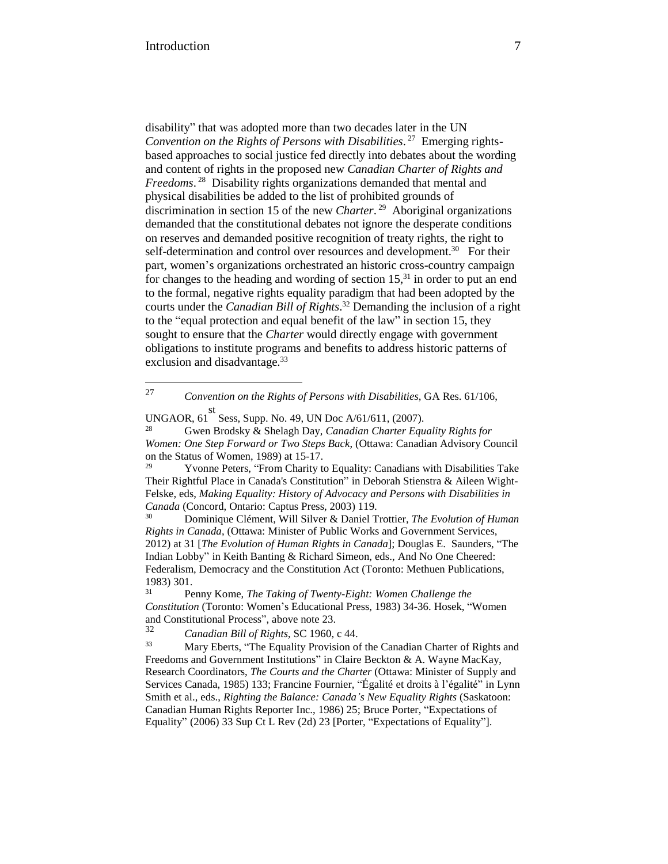27

disability" that was adopted more than two decades later in the UN *Convention on the Rights of Persons with Disabilities*. 27 Emerging rightsbased approaches to social justice fed directly into debates about the wording and content of rights in the proposed new *Canadian Charter of Rights and Freedoms*. 28 Disability rights organizations demanded that mental and physical disabilities be added to the list of prohibited grounds of discrimination in section 15 of the new *Charter*. 29 Aboriginal organizations demanded that the constitutional debates not ignore the desperate conditions on reserves and demanded positive recognition of treaty rights, the right to self-determination and control over resources and development.<sup>30</sup> For their part, women's organizations orchestrated an historic cross-country campaign for changes to the heading and wording of section  $15<sup>31</sup>$  in order to put an end to the formal, negative rights equality paradigm that had been adopted by the courts under the *Canadian Bill of Rights*. <sup>32</sup> Demanding the inclusion of a right to the "equal protection and equal benefit of the law" in section 15, they sought to ensure that the *Charter* would directly engage with government obligations to institute programs and benefits to address historic patterns of exclusion and disadvantage.<sup>33</sup>

<sup>27</sup> *Convention on the Rights of Persons with Disabilities*, GA Res. 61/106,

Yvonne Peters, "From Charity to Equality: Canadians with Disabilities Take Their Rightful Place in Canada's Constitution" in Deborah Stienstra & Aileen Wight-Felske, eds, *Making Equality: History of Advocacy and Persons with Disabilities in Canada* (Concord, Ontario: Captus Press, 2003) 119.

30 Dominique Clément, Will Silver & Daniel Trottier, *The Evolution of Human Rights in Canada*, (Ottawa: Minister of Public Works and Government Services, 2012) at 31 [*The Evolution of Human Rights in Canada*]; Douglas E. Saunders, "The Indian Lobby" in Keith Banting & Richard Simeon, eds., And No One Cheered: Federalism, Democracy and the Constitution Act (Toronto: Methuen Publications, 1983) 301.

UNGAOR, 61 st Sess, Supp. No. 49, UN Doc A/61/611, (2007).

<sup>28</sup> Gwen Brodsky & Shelagh Day, *Canadian Charter Equality Rights for Women: One Step Forward or Two Steps Back*, (Ottawa: Canadian Advisory Council on the Status of Women, 1989) at 15-17.<br><sup>29</sup> Vyonne Peters, "From Cherity to

<sup>31</sup> Penny Kome, *The Taking of Twenty-Eight: Women Challenge the Constitution* (Toronto: Women's Educational Press, 1983) 34-36. Hosek, "Women and Constitutional Process", above note 23.

<sup>32</sup> *Canadian Bill of Rights*, SC 1960, c 44.

Mary Eberts, "The Equality Provision of the Canadian Charter of Rights and Freedoms and Government Institutions" in Claire Beckton & A. Wayne MacKay, Research Coordinators, *The Courts and the Charter* (Ottawa: Minister of Supply and Services Canada, 1985) 133; Francine Fournier, "Égalité et droits à l'égalité" in Lynn Smith et al., eds., *Righting the Balance: Canada's New Equality Rights* (Saskatoon: Canadian Human Rights Reporter Inc., 1986) 25; Bruce Porter, "Expectations of Equality" (2006) 33 Sup Ct L Rev (2d) 23 [Porter, "Expectations of Equality"].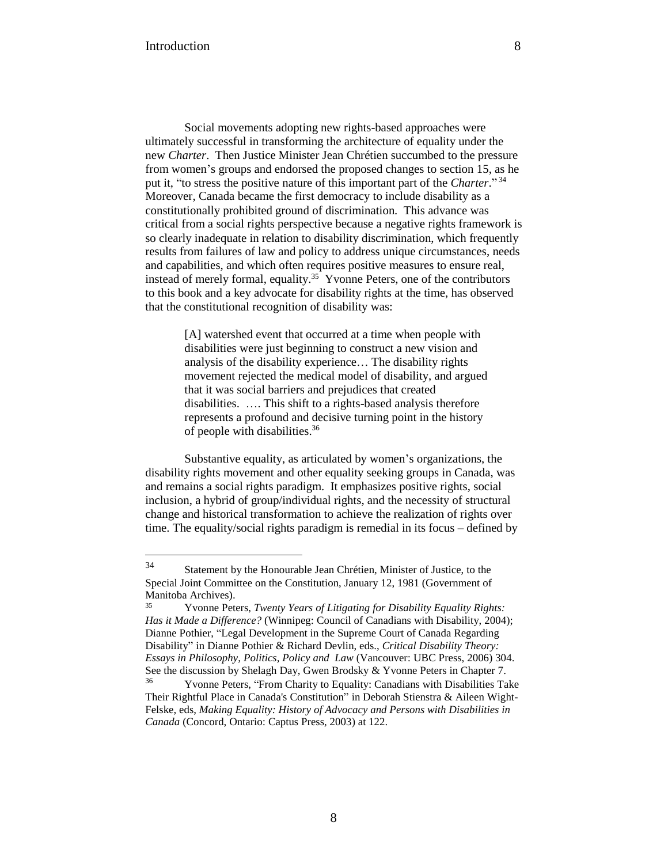Social movements adopting new rights-based approaches were ultimately successful in transforming the architecture of equality under the new *Charter*. Then Justice Minister Jean Chrétien succumbed to the pressure from women's groups and endorsed the proposed changes to section 15, as he put it, "to stress the positive nature of this important part of the *Charter*." 34 Moreover, Canada became the first democracy to include disability as a constitutionally prohibited ground of discrimination. This advance was critical from a social rights perspective because a negative rights framework is so clearly inadequate in relation to disability discrimination, which frequently results from failures of law and policy to address unique circumstances, needs and capabilities, and which often requires positive measures to ensure real, instead of merely formal, equality.<sup>35</sup> Yvonne Peters, one of the contributors to this book and a key advocate for disability rights at the time, has observed that the constitutional recognition of disability was:

> [A] watershed event that occurred at a time when people with disabilities were just beginning to construct a new vision and analysis of the disability experience… The disability rights movement rejected the medical model of disability, and argued that it was social barriers and prejudices that created disabilities. …. This shift to a rights-based analysis therefore represents a profound and decisive turning point in the history of people with disabilities.<sup>36</sup>

Substantive equality, as articulated by women's organizations, the disability rights movement and other equality seeking groups in Canada, was and remains a social rights paradigm. It emphasizes positive rights, social inclusion, a hybrid of group/individual rights, and the necessity of structural change and historical transformation to achieve the realization of rights over time. The equality/social rights paradigm is remedial in its focus – defined by

<sup>34</sup> Statement by the Honourable Jean Chrétien, Minister of Justice, to the Special Joint Committee on the Constitution, January 12, 1981 (Government of Manitoba Archives).

<sup>35</sup> Yvonne Peters, *Twenty Years of Litigating for Disability Equality Rights: Has it Made a Difference?* (Winnipeg: Council of Canadians with Disability, 2004); Dianne Pothier, "Legal Development in the Supreme Court of Canada Regarding Disability" in Dianne Pothier & Richard Devlin, eds., *Critical Disability Theory: Essays in Philosophy, Politics, Policy and Law* (Vancouver: UBC Press, 2006) 304. See the discussion by Shelagh Day, Gwen Brodsky & Yvonne Peters in Chapter 7.

<sup>36</sup> Yvonne Peters, "From Charity to Equality: Canadians with Disabilities Take Their Rightful Place in Canada's Constitution" in Deborah Stienstra & Aileen Wight-Felske, eds, *Making Equality: History of Advocacy and Persons with Disabilities in Canada* (Concord, Ontario: Captus Press, 2003) at 122.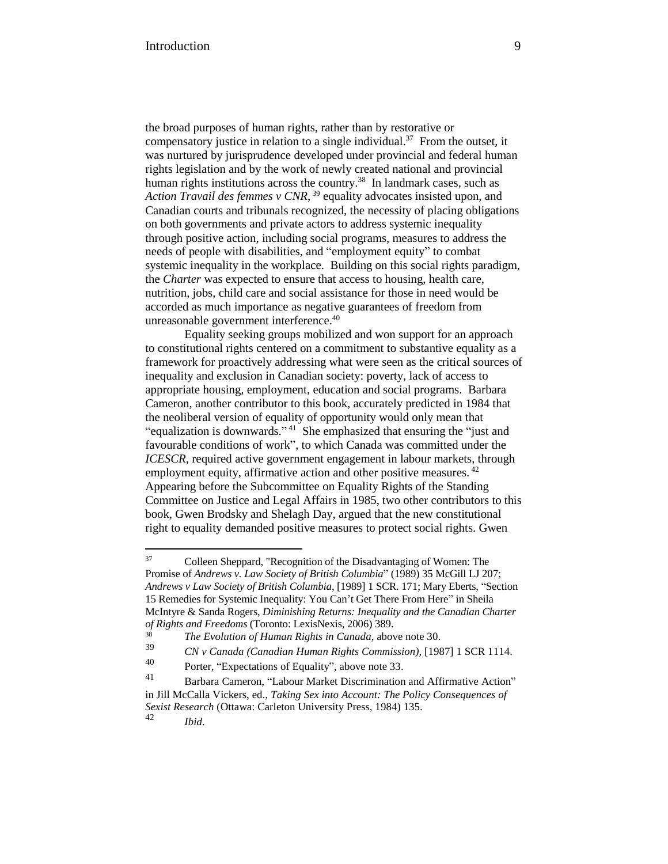the broad purposes of human rights, rather than by restorative or compensatory justice in relation to a single individual.<sup>37</sup> From the outset, it was nurtured by jurisprudence developed under provincial and federal human rights legislation and by the work of newly created national and provincial human rights institutions across the country.<sup>38</sup> In landmark cases, such as *Action Travail des femmes v CNR*, <sup>39</sup> equality advocates insisted upon, and Canadian courts and tribunals recognized, the necessity of placing obligations on both governments and private actors to address systemic inequality through positive action, including social programs, measures to address the needs of people with disabilities, and "employment equity" to combat systemic inequality in the workplace. Building on this social rights paradigm, the *Charter* was expected to ensure that access to housing, health care, nutrition, jobs, child care and social assistance for those in need would be accorded as much importance as negative guarantees of freedom from unreasonable government interference.<sup>40</sup>

Equality seeking groups mobilized and won support for an approach to constitutional rights centered on a commitment to substantive equality as a framework for proactively addressing what were seen as the critical sources of inequality and exclusion in Canadian society: poverty, lack of access to appropriate housing, employment, education and social programs. Barbara Cameron, another contributor to this book, accurately predicted in 1984 that the neoliberal version of equality of opportunity would only mean that "equalization is downwards."<sup>41</sup> She emphasized that ensuring the "just and favourable conditions of work", to which Canada was committed under the *ICESCR*, required active government engagement in labour markets, through employment equity, affirmative action and other positive measures.<sup>42</sup> Appearing before the Subcommittee on Equality Rights of the Standing Committee on Justice and Legal Affairs in 1985, two other contributors to this book, Gwen Brodsky and Shelagh Day, argued that the new constitutional right to equality demanded positive measures to protect social rights. Gwen

<sup>37</sup> <sup>37</sup> Colleen Sheppard, "Recognition of the Disadvantaging of Women: The Promise of *Andrews v. Law Society of British Columbia*" (1989) 35 McGill LJ 207; *Andrews v Law Society of British Columbia*, [1989] 1 SCR. 171; Mary Eberts, "Section 15 Remedies for Systemic Inequality: You Can't Get There From Here" in Sheila McIntyre & Sanda Rogers, *Diminishing Returns: Inequality and the Canadian Charter of Rights and Freedoms* (Toronto: LexisNexis, 2006) 389.

<sup>38</sup> *The Evolution of Human Rights in Canada*, above note 30.

<sup>39</sup> *CN v Canada (Canadian Human Rights Commission),* [1987] 1 SCR 1114.

<sup>40</sup> Porter, "Expectations of Equality", above note 33.<br>41 Parkara General "I above Market Discrimination

Barbara Cameron, "Labour Market Discrimination and Affirmative Action" in Jill McCalla Vickers, ed., *Taking Sex into Account: The Policy Consequences of Sexist Research* (Ottawa: Carleton University Press, 1984) 135. <sup>42</sup> *Ibid*.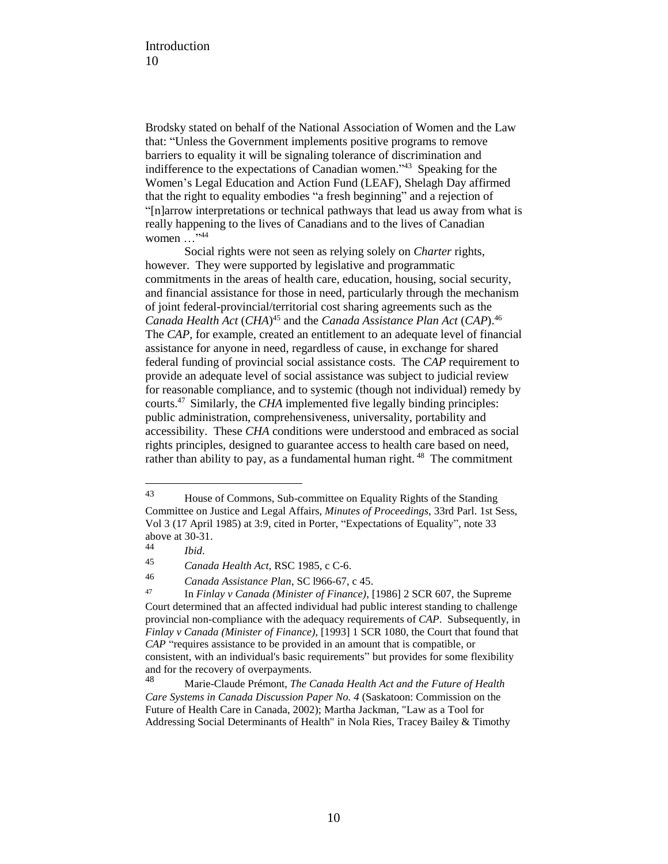Brodsky stated on behalf of the National Association of Women and the Law that: "Unless the Government implements positive programs to remove barriers to equality it will be signaling tolerance of discrimination and indifference to the expectations of Canadian women."<sup>43</sup> Speaking for the Women's Legal Education and Action Fund (LEAF), Shelagh Day affirmed that the right to equality embodies "a fresh beginning" and a rejection of "[n]arrow interpretations or technical pathways that lead us away from what is really happening to the lives of Canadians and to the lives of Canadian women  $\ldots$ <sup>"44</sup>

Social rights were not seen as relying solely on *Charter* rights, however. They were supported by legislative and programmatic commitments in the areas of health care, education, housing, social security, and financial assistance for those in need, particularly through the mechanism of joint federal-provincial/territorial cost sharing agreements such as the *Canada Health Act* (*CHA*) <sup>45</sup> and the *Canada Assistance Plan Act* (*CAP*).<sup>46</sup> The *CAP*, for example, created an entitlement to an adequate level of financial assistance for anyone in need, regardless of cause, in exchange for shared federal funding of provincial social assistance costs. The *CAP* requirement to provide an adequate level of social assistance was subject to judicial review for reasonable compliance, and to systemic (though not individual) remedy by courts.<sup>47</sup> Similarly, the *CHA* implemented five legally binding principles: public administration, comprehensiveness, universality, portability and accessibility. These *CHA* conditions were understood and embraced as social rights principles, designed to guarantee access to health care based on need, rather than ability to pay, as a fundamental human right.<sup>48</sup> The commitment

<sup>43</sup> House of Commons, Sub-committee on Equality Rights of the Standing Committee on Justice and Legal Affairs, *Minutes of Proceedings*, 33rd Parl. 1st Sess, Vol 3 (17 April 1985) at 3:9, cited in Porter, "Expectations of Equality", note 33 above at 30-31.<br> $\frac{44}{16}$ 

<sup>44</sup> *Ibid*.

<sup>45</sup> *Canada Health Act*, RSC 1985, c C-6.

<sup>46</sup> *Canada Assistance Plan*, SC l966-67, c 45.

<sup>47</sup> In *Finlay v Canada (Minister of Finance)*, [1986] 2 SCR 607, the Supreme Court determined that an affected individual had public interest standing to challenge provincial non-compliance with the adequacy requirements of *CAP*. Subsequently, in *Finlay v Canada (Minister of Finance)*, [1993] 1 SCR 1080, the Court that found that *CAP* "requires assistance to be provided in an amount that is compatible, or consistent, with an individual's basic requirements" but provides for some flexibility and for the recovery of overpayments.<br>48<br>Marie Claude Prémont, The C

<sup>48</sup> Marie-Claude Prémont, *The Canada Health Act and the Future of Health Care Systems in Canada Discussion Paper No. 4* (Saskatoon: Commission on the Future of Health Care in Canada, 2002); Martha Jackman, "Law as a Tool for Addressing Social Determinants of Health" in Nola Ries, Tracey Bailey & Timothy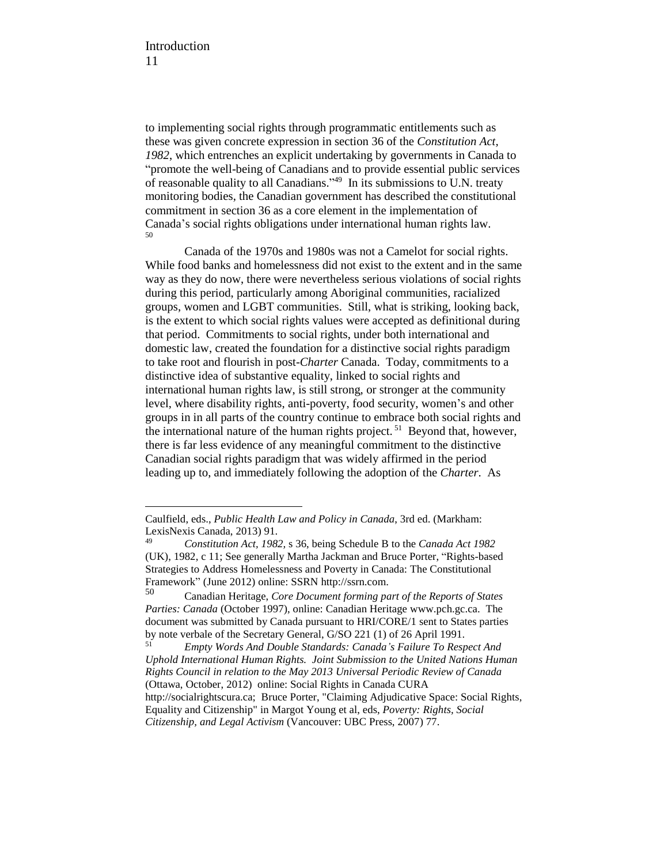to implementing social rights through programmatic entitlements such as these was given concrete expression in section 36 of the *Constitution Act, 1982*, which entrenches an explicit undertaking by governments in Canada to "promote the well-being of Canadians and to provide essential public services of reasonable quality to all Canadians."<sup>49</sup> In its submissions to U.N. treaty monitoring bodies, the Canadian government has described the constitutional commitment in section 36 as a core element in the implementation of Canada's social rights obligations under international human rights law. 50

Canada of the 1970s and 1980s was not a Camelot for social rights. While food banks and homelessness did not exist to the extent and in the same way as they do now, there were nevertheless serious violations of social rights during this period, particularly among Aboriginal communities, racialized groups, women and LGBT communities. Still, what is striking, looking back, is the extent to which social rights values were accepted as definitional during that period. Commitments to social rights, under both international and domestic law, created the foundation for a distinctive social rights paradigm to take root and flourish in post-*Charter* Canada. Today, commitments to a distinctive idea of substantive equality, linked to social rights and international human rights law, is still strong, or stronger at the community level, where disability rights, anti-poverty, food security, women's and other groups in in all parts of the country continue to embrace both social rights and the international nature of the human rights project.<sup>51</sup> Beyond that, however, there is far less evidence of any meaningful commitment to the distinctive Canadian social rights paradigm that was widely affirmed in the period leading up to, and immediately following the adoption of the *Charter*. As

Caulfield, eds., *Public Health Law and Policy in Canada*, 3rd ed. (Markham: LexisNexis Canada, 2013) 91.

<sup>49</sup> *Constitution Act, 1982,* s 36, being Schedule B to the *Canada Act 1982* (UK), 1982, c 11; See generally Martha Jackman and Bruce Porter, "Rights-based Strategies to Address Homelessness and Poverty in Canada: The Constitutional Framework" (June 2012) online: SSRN http://ssrn.com.

<sup>50</sup> Canadian Heritage, *Core Document forming part of the Reports of States Parties: Canada* (October 1997), online: Canadian Heritage www.pch.gc.ca. The document was submitted by Canada pursuant to HRI/CORE/1 sent to States parties by note verbale of the Secretary General, G/SO 221 (1) of 26 April 1991.

<sup>51</sup> *Empty Words And Double Standards: Canada's Failure To Respect And Uphold International Human Rights. Joint Submission to the United Nations Human Rights Council in relation to the May 2013 Universal Periodic Review of Canada* (Ottawa, October, 2012) online: Social Rights in Canada CURA http://socialrightscura.ca; Bruce Porter, "Claiming Adjudicative Space: Social Rights, Equality and Citizenship" in Margot Young et al, eds, *Poverty: Rights, Social Citizenship, and Legal Activism* (Vancouver: UBC Press, 2007) 77.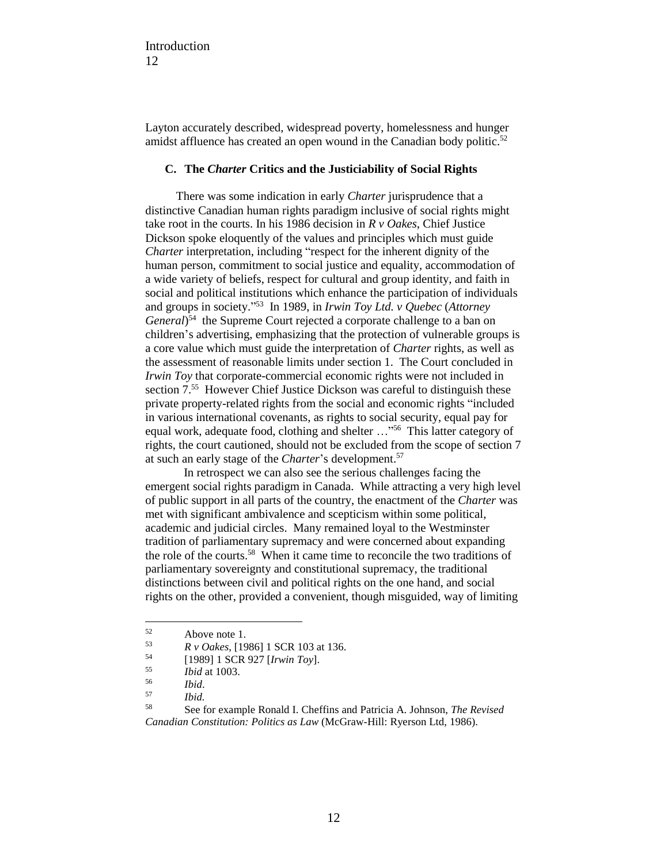Layton accurately described, widespread poverty, homelessness and hunger amidst affluence has created an open wound in the Canadian body politic.<sup>52</sup>

## **C. The** *Charter* **Critics and the Justiciability of Social Rights**

There was some indication in early *Charter* jurisprudence that a distinctive Canadian human rights paradigm inclusive of social rights might take root in the courts. In his 1986 decision in *R v Oakes*, Chief Justice Dickson spoke eloquently of the values and principles which must guide *Charter* interpretation, including "respect for the inherent dignity of the human person, commitment to social justice and equality, accommodation of a wide variety of beliefs, respect for cultural and group identity, and faith in social and political institutions which enhance the participation of individuals and groups in society." 53 In 1989, in *Irwin Toy Ltd. v Quebec* (*Attorney* General)<sup>54</sup> the Supreme Court rejected a corporate challenge to a ban on children's advertising, emphasizing that the protection of vulnerable groups is a core value which must guide the interpretation of *Charter* rights, as well as the assessment of reasonable limits under section 1. The Court concluded in *Irwin Toy* that corporate-commercial economic rights were not included in section 7.<sup>55</sup> However Chief Justice Dickson was careful to distinguish these private property-related rights from the social and economic rights "included in various international covenants, as rights to social security, equal pay for equal work, adequate food, clothing and shelter ..."<sup>56</sup> This latter category of rights, the court cautioned, should not be excluded from the scope of section 7 at such an early stage of the *Charter*'s development.<sup>57</sup>

In retrospect we can also see the serious challenges facing the emergent social rights paradigm in Canada. While attracting a very high level of public support in all parts of the country, the enactment of the *Charter* was met with significant ambivalence and scepticism within some political, academic and judicial circles. Many remained loyal to the Westminster tradition of parliamentary supremacy and were concerned about expanding the role of the courts.<sup>58</sup> When it came time to reconcile the two traditions of parliamentary sovereignty and constitutional supremacy, the traditional distinctions between civil and political rights on the one hand, and social rights on the other, provided a convenient, though misguided, way of limiting

<sup>52</sup> Above note 1.

<sup>53</sup>  $R \text{ } v$  *Oakes*, [1986] 1 SCR 103 at 136.

<sup>54</sup> [1989] 1 SCR 927 [*Irwin Toy*].

<sup>55</sup> *Ibid* at 1003.

<sup>56</sup> *Ibid*.

<sup>57</sup> *Ibid.*

<sup>58</sup> See for example Ronald I. Cheffins and Patricia A. Johnson, *The Revised Canadian Constitution: Politics as Law* (McGraw-Hill: Ryerson Ltd, 1986).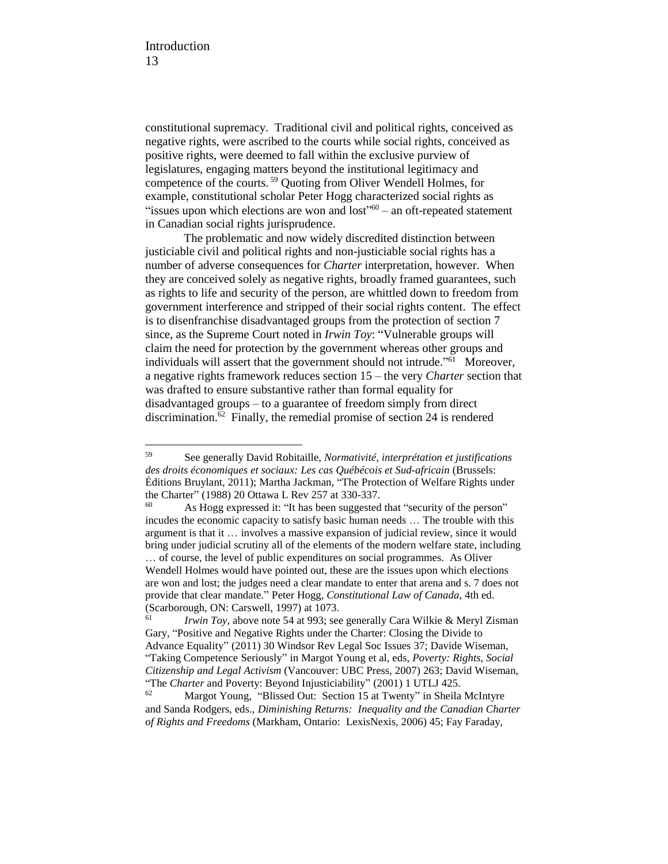constitutional supremacy. Traditional civil and political rights, conceived as negative rights, were ascribed to the courts while social rights, conceived as positive rights, were deemed to fall within the exclusive purview of legislatures, engaging matters beyond the institutional legitimacy and competence of the courts. <sup>59</sup> Quoting from Oliver Wendell Holmes, for example, constitutional scholar Peter Hogg characterized social rights as "issues upon which elections are won and  $lost$ " $60 -$  an oft-repeated statement in Canadian social rights jurisprudence.

The problematic and now widely discredited distinction between justiciable civil and political rights and non-justiciable social rights has a number of adverse consequences for *Charter* interpretation, however. When they are conceived solely as negative rights, broadly framed guarantees, such as rights to life and security of the person, are whittled down to freedom from government interference and stripped of their social rights content. The effect is to disenfranchise disadvantaged groups from the protection of section 7 since, as the Supreme Court noted in *Irwin Toy*: "Vulnerable groups will claim the need for protection by the government whereas other groups and individuals will assert that the government should not intrude."<sup>61</sup> Moreover, a negative rights framework reduces section 15 – the very *Charter* section that was drafted to ensure substantive rather than formal equality for disadvantaged groups – to a guarantee of freedom simply from direct discrimination.<sup>62</sup> Finally, the remedial promise of section 24 is rendered

<sup>59</sup> See generally David Robitaille, *Normativité, interprétation et justifications des droits économiques et sociaux: Les cas Québécois et Sud-africain* (Brussels: Éditions Bruylant, 2011); Martha Jackman, "The Protection of Welfare Rights under the Charter" (1988) 20 Ottawa L Rev 257 at 330-337.

<sup>60</sup> As Hogg expressed it: "It has been suggested that "security of the person" incudes the economic capacity to satisfy basic human needs … The trouble with this argument is that it … involves a massive expansion of judicial review, since it would bring under judicial scrutiny all of the elements of the modern welfare state, including … of course, the level of public expenditures on social programmes. As Oliver Wendell Holmes would have pointed out, these are the issues upon which elections are won and lost; the judges need a clear mandate to enter that arena and s. 7 does not provide that clear mandate." Peter Hogg, *Constitutional Law of Canada*, 4th ed.

<sup>(</sup>Scarborough, ON: Carswell, 1997) at 1073.<br> $I_{\text{min}}$   $I_{\text{cav}}$  above note 54 at 003: see *Irwin Toy*, above note 54 at 993; see generally Cara Wilkie & Meryl Zisman Gary, "Positive and Negative Rights under the Charter: Closing the Divide to Advance Equality" (2011) 30 Windsor Rev Legal Soc Issues 37; Davide Wiseman, "Taking Competence Seriously" in Margot Young et al, eds, *Poverty: Rights, Social Citizenship and Legal Activism* (Vancouver: UBC Press, 2007) 263; David Wiseman, "The *Charter* and Poverty: Beyond Injusticiability" (2001) 1 UTLJ 425.<br><sup>62</sup> Margot Young "Blissed Out: Section 15 at Twenty" in Sheila

Margot Young, "Blissed Out: Section 15 at Twenty" in Sheila McIntyre and Sanda Rodgers, eds., *Diminishing Returns: Inequality and the Canadian Charter of Rights and Freedoms* (Markham, Ontario: LexisNexis, 2006) 45; Fay Faraday,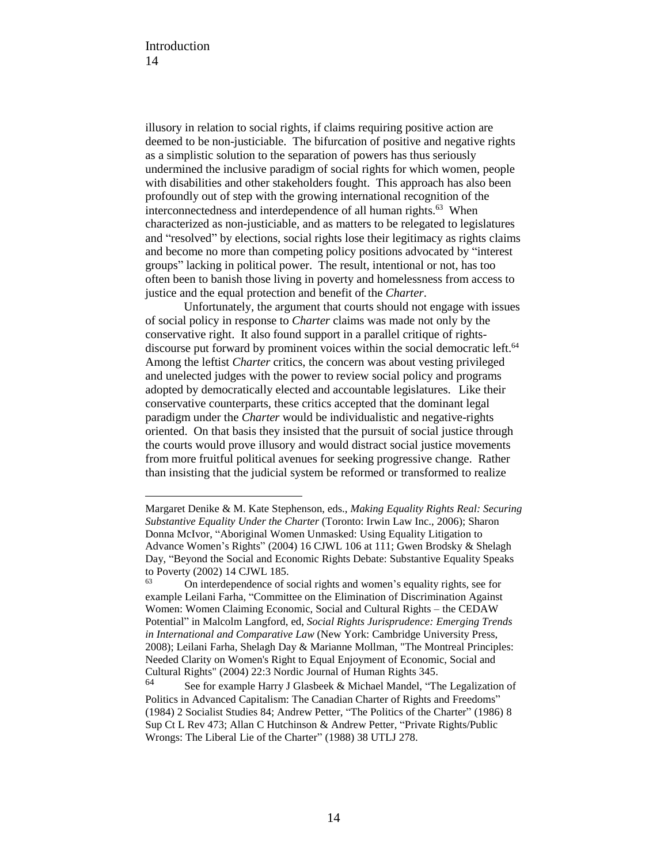illusory in relation to social rights, if claims requiring positive action are deemed to be non-justiciable. The bifurcation of positive and negative rights as a simplistic solution to the separation of powers has thus seriously undermined the inclusive paradigm of social rights for which women, people with disabilities and other stakeholders fought. This approach has also been profoundly out of step with the growing international recognition of the interconnectedness and interdependence of all human rights.<sup>63</sup> When characterized as non-justiciable, and as matters to be relegated to legislatures and "resolved" by elections, social rights lose their legitimacy as rights claims and become no more than competing policy positions advocated by "interest groups" lacking in political power. The result, intentional or not, has too often been to banish those living in poverty and homelessness from access to justice and the equal protection and benefit of the *Charter*.

Unfortunately, the argument that courts should not engage with issues of social policy in response to *Charter* claims was made not only by the conservative right. It also found support in a parallel critique of rightsdiscourse put forward by prominent voices within the social democratic left.<sup>64</sup> Among the leftist *Charter* critics, the concern was about vesting privileged and unelected judges with the power to review social policy and programs adopted by democratically elected and accountable legislatures. Like their conservative counterparts, these critics accepted that the dominant legal paradigm under the *Charter* would be individualistic and negative-rights oriented. On that basis they insisted that the pursuit of social justice through the courts would prove illusory and would distract social justice movements from more fruitful political avenues for seeking progressive change. Rather than insisting that the judicial system be reformed or transformed to realize

Margaret Denike & M. Kate Stephenson, eds., *Making Equality Rights Real: Securing Substantive Equality Under the Charter* (Toronto: Irwin Law Inc., 2006); Sharon Donna McIvor, "Aboriginal Women Unmasked: Using Equality Litigation to Advance Women's Rights" (2004) 16 CJWL 106 at 111; Gwen Brodsky & Shelagh Day, "Beyond the Social and Economic Rights Debate: Substantive Equality Speaks to Poverty (2002) 14 CJWL 185.<br> $\frac{63}{2}$  On interdependence of g

<sup>63</sup> On interdependence of social rights and women's equality rights, see for example Leilani Farha, "Committee on the Elimination of Discrimination Against Women: Women Claiming Economic, Social and Cultural Rights – the CEDAW Potential" in Malcolm Langford, ed, *Social Rights Jurisprudence: Emerging Trends in International and Comparative Law* (New York: Cambridge University Press, 2008); Leilani Farha, Shelagh Day & Marianne Mollman, "The Montreal Principles: Needed Clarity on Women's Right to Equal Enjoyment of Economic, Social and Cultural Rights" (2004) 22:3 Nordic Journal of Human Rights 345.

See for example Harry J Glasbeek & Michael Mandel, "The Legalization of Politics in Advanced Capitalism: The Canadian Charter of Rights and Freedoms" (1984) 2 Socialist Studies 84; Andrew Petter, "The Politics of the Charter" (1986) 8 Sup Ct L Rev 473; Allan C Hutchinson & Andrew Petter, "Private Rights/Public Wrongs: The Liberal Lie of the Charter" (1988) 38 UTLJ 278.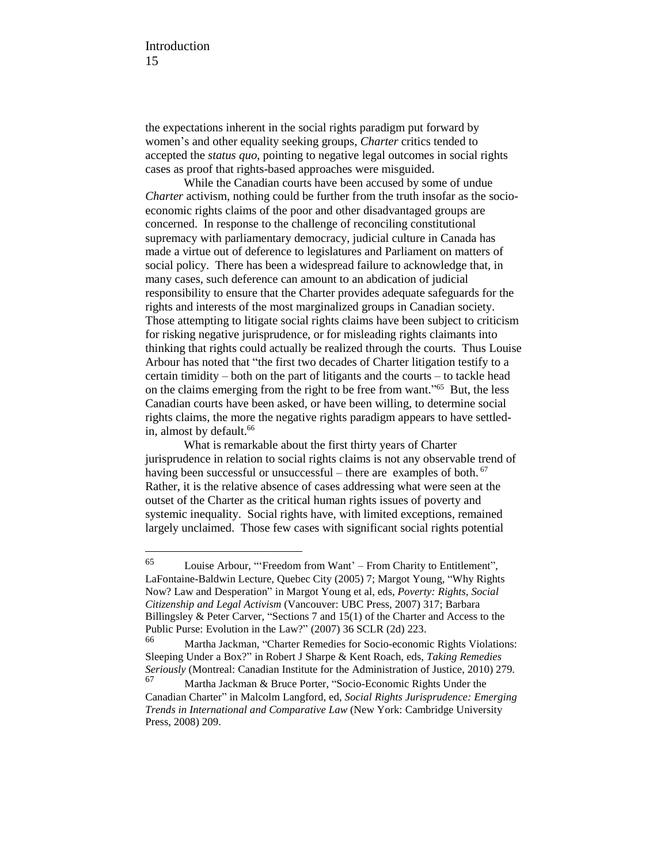the expectations inherent in the social rights paradigm put forward by women's and other equality seeking groups, *Charter* critics tended to accepted the *status quo*, pointing to negative legal outcomes in social rights cases as proof that rights-based approaches were misguided.

While the Canadian courts have been accused by some of undue *Charter* activism, nothing could be further from the truth insofar as the socioeconomic rights claims of the poor and other disadvantaged groups are concerned. In response to the challenge of reconciling constitutional supremacy with parliamentary democracy, judicial culture in Canada has made a virtue out of deference to legislatures and Parliament on matters of social policy. There has been a widespread failure to acknowledge that, in many cases, such deference can amount to an abdication of judicial responsibility to ensure that the Charter provides adequate safeguards for the rights and interests of the most marginalized groups in Canadian society. Those attempting to litigate social rights claims have been subject to criticism for risking negative jurisprudence, or for misleading rights claimants into thinking that rights could actually be realized through the courts. Thus Louise Arbour has noted that "the first two decades of Charter litigation testify to a certain timidity – both on the part of litigants and the courts – to tackle head on the claims emerging from the right to be free from want."<sup>65</sup> But, the less Canadian courts have been asked, or have been willing, to determine social rights claims, the more the negative rights paradigm appears to have settledin, almost by default.<sup>66</sup>

What is remarkable about the first thirty years of Charter jurisprudence in relation to social rights claims is not any observable trend of having been successful or unsuccessful – there are examples of both. <sup>67</sup> Rather, it is the relative absence of cases addressing what were seen at the outset of the Charter as the critical human rights issues of poverty and systemic inequality. Social rights have, with limited exceptions, remained largely unclaimed. Those few cases with significant social rights potential

<sup>65</sup> Louise Arbour, "'Freedom from Want' – From Charity to Entitlement", LaFontaine-Baldwin Lecture, Quebec City (2005) 7; Margot Young, "Why Rights Now? Law and Desperation" in Margot Young et al, eds, *Poverty: Rights, Social Citizenship and Legal Activism* (Vancouver: UBC Press, 2007) 317; Barbara Billingsley & Peter Carver, "Sections 7 and 15(1) of the Charter and Access to the Public Purse: Evolution in the Law?" (2007) 36 SCLR (2d) 223.

Martha Jackman, "Charter Remedies for Socio-economic Rights Violations: Sleeping Under a Box?" in Robert J Sharpe & Kent Roach, eds, *Taking Remedies Seriously* (Montreal: Canadian Institute for the Administration of Justice, 2010) 279.

Martha Jackman & Bruce Porter, "Socio-Economic Rights Under the Canadian Charter" in Malcolm Langford, ed, *Social Rights Jurisprudence: Emerging Trends in International and Comparative Law* (New York: Cambridge University Press, 2008) 209.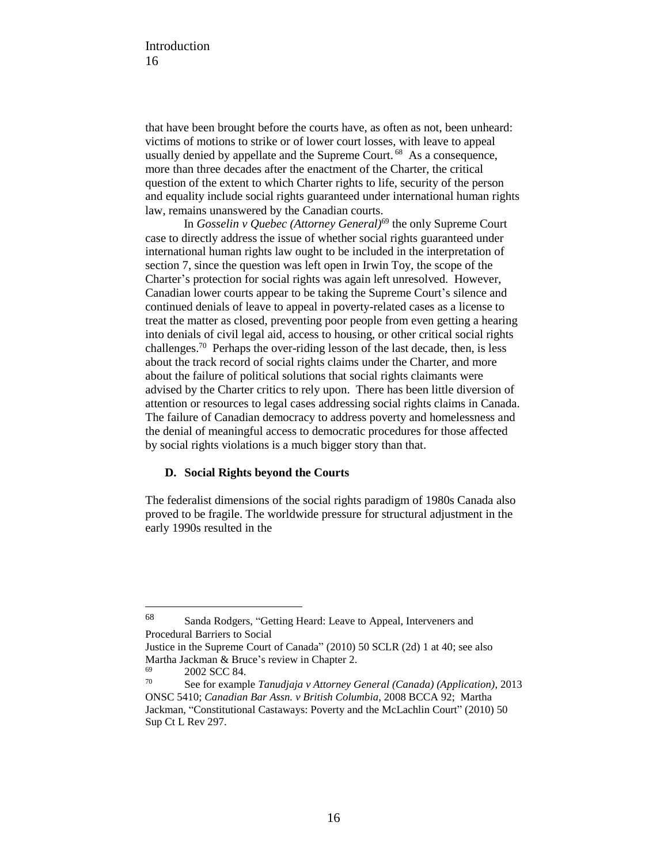that have been brought before the courts have, as often as not, been unheard: victims of motions to strike or of lower court losses, with leave to appeal usually denied by appellate and the Supreme Court.<sup>68</sup> As a consequence, more than three decades after the enactment of the Charter, the critical question of the extent to which Charter rights to life, security of the person and equality include social rights guaranteed under international human rights law, remains unanswered by the Canadian courts.

In *Gosselin v Quebec (Attorney General)*<sup>69</sup> the only Supreme Court case to directly address the issue of whether social rights guaranteed under international human rights law ought to be included in the interpretation of section 7, since the question was left open in Irwin Toy, the scope of the Charter's protection for social rights was again left unresolved. However, Canadian lower courts appear to be taking the Supreme Court's silence and continued denials of leave to appeal in poverty-related cases as a license to treat the matter as closed, preventing poor people from even getting a hearing into denials of civil legal aid, access to housing, or other critical social rights challenges.<sup>70</sup> Perhaps the over-riding lesson of the last decade, then, is less about the track record of social rights claims under the Charter, and more about the failure of political solutions that social rights claimants were advised by the Charter critics to rely upon. There has been little diversion of attention or resources to legal cases addressing social rights claims in Canada. The failure of Canadian democracy to address poverty and homelessness and the denial of meaningful access to democratic procedures for those affected by social rights violations is a much bigger story than that.

## **D. Social Rights beyond the Courts**

The federalist dimensions of the social rights paradigm of 1980s Canada also proved to be fragile. The worldwide pressure for structural adjustment in the early 1990s resulted in the

<sup>68</sup> Sanda Rodgers, "Getting Heard: Leave to Appeal, Interveners and Procedural Barriers to Social

Justice in the Supreme Court of Canada" (2010) 50 SCLR (2d) 1 at 40; see also Martha Jackman & Bruce's review in Chapter 2.

 $^{69}$  2002 SCC 84.

<sup>70</sup> See for example *Tanudjaja v Attorney General (Canada) (Application)*, 2013 ONSC 5410; *Canadian Bar Assn. v British Columbia*, 2008 BCCA 92; Martha Jackman, "Constitutional Castaways: Poverty and the McLachlin Court" (2010) 50 Sup Ct L Rev 297.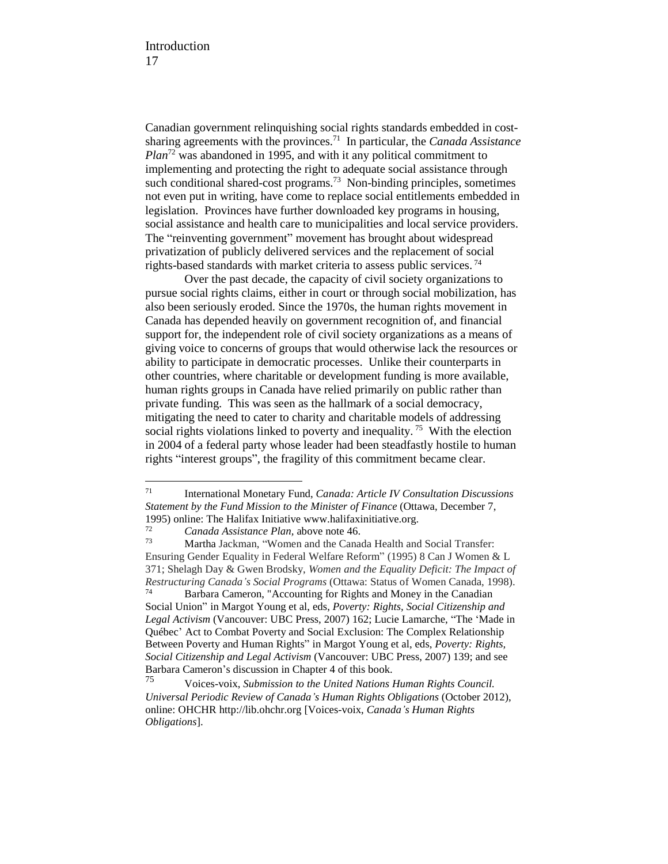Canadian government relinquishing social rights standards embedded in costsharing agreements with the provinces.<sup>71</sup> In particular, the *Canada Assistance Plan*<sup>72</sup> was abandoned in 1995, and with it any political commitment to implementing and protecting the right to adequate social assistance through such conditional shared-cost programs.<sup>73</sup> Non-binding principles, sometimes not even put in writing, have come to replace social entitlements embedded in legislation. Provinces have further downloaded key programs in housing, social assistance and health care to municipalities and local service providers. The "reinventing government" movement has brought about widespread privatization of publicly delivered services and the replacement of social rights-based standards with market criteria to assess public services.<sup>74</sup>

Over the past decade, the capacity of civil society organizations to pursue social rights claims, either in court or through social mobilization, has also been seriously eroded. Since the 1970s, the human rights movement in Canada has depended heavily on government recognition of, and financial support for, the independent role of civil society organizations as a means of giving voice to concerns of groups that would otherwise lack the resources or ability to participate in democratic processes. Unlike their counterparts in other countries, where charitable or development funding is more available, human rights groups in Canada have relied primarily on public rather than private funding. This was seen as the hallmark of a social democracy, mitigating the need to cater to charity and charitable models of addressing social rights violations linked to poverty and inequality.<sup>75</sup> With the election in 2004 of a federal party whose leader had been steadfastly hostile to human rights "interest groups", the fragility of this commitment became clear.

 $71$ <sup>71</sup> International Monetary Fund, *Canada: Article IV Consultation Discussions Statement by the Fund Mission to the Minister of Finance* (Ottawa, December 7, 1995) online: The Halifax Initiative www.halifaxinitiative.org.<br> $\frac{72}{10}$  Canada Assistance  $\frac{N \text{av}}{N}$  above note 46

<sup>72</sup> *Canada Assistance Plan,* above note 46.

Martha Jackman, "Women and the Canada Health and Social Transfer: Ensuring Gender Equality in Federal Welfare Reform" (1995) 8 Can J Women & L 371; Shelagh Day & Gwen Brodsky, *Women and the Equality Deficit: The Impact of Restructuring Canada's Social Programs* (Ottawa: Status of Women Canada, 1998). <sup>74</sup> Barbara Cameron, "Accounting for Rights and Money in the Canadian

Social Union" in Margot Young et al, eds, *Poverty: Rights, Social Citizenship and Legal Activism* (Vancouver: UBC Press, 2007) 162; Lucie Lamarche, "The 'Made in Québec' Act to Combat Poverty and Social Exclusion: The Complex Relationship Between Poverty and Human Rights" in Margot Young et al, eds, *Poverty: Rights, Social Citizenship and Legal Activism* (Vancouver: UBC Press, 2007) 139; and see Barbara Cameron's discussion in Chapter 4 of this book.

<sup>75</sup> Voices-voix, *Submission to the United Nations Human Rights Council. Universal Periodic Review of Canada's Human Rights Obligations* (October 2012), online: OHCHR [http://lib.ohchr.org](http://lib.ohchr.org/hrbodies/upr/documents/session16/ca/voicesvoix_upr_can_s16_2013_voicesvoix_e.pdf) [Voices-voix, *Canada's Human Rights Obligations*].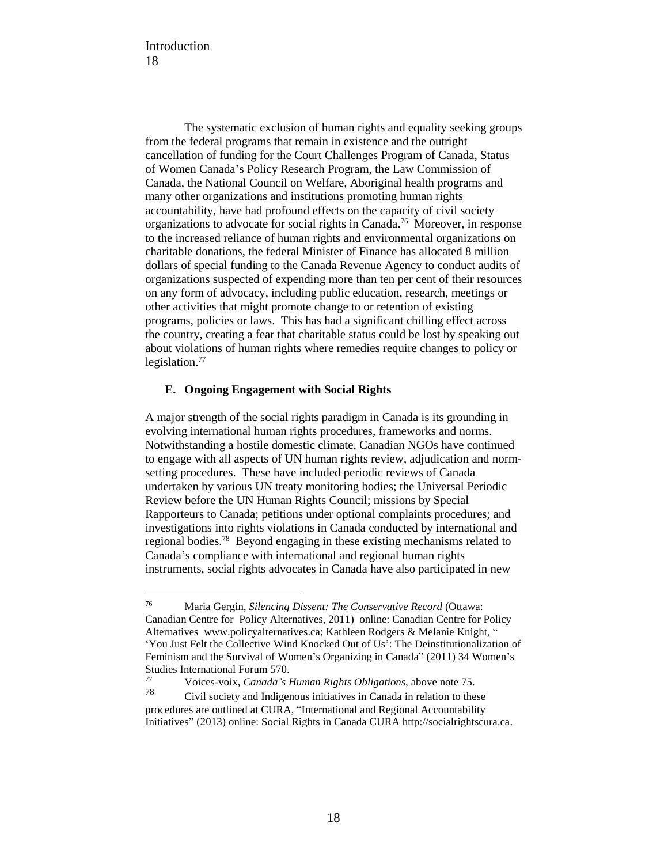The systematic exclusion of human rights and equality seeking groups from the federal programs that remain in existence and the outright cancellation of funding for the Court Challenges Program of Canada, Status of Women Canada's Policy Research Program, the Law Commission of Canada, the National Council on Welfare, Aboriginal health programs and many other organizations and institutions promoting human rights accountability, have had profound effects on the capacity of civil society organizations to advocate for social rights in Canada.<sup>76</sup> Moreover, in response to the increased reliance of human rights and environmental organizations on charitable donations, the federal Minister of Finance has allocated 8 million dollars of special funding to the Canada Revenue Agency to conduct audits of organizations suspected of expending more than ten per cent of their resources on any form of advocacy, including public education, research, meetings or other activities that might promote change to or retention of existing programs, policies or laws. This has had a significant chilling effect across the country, creating a fear that charitable status could be lost by speaking out about violations of human rights where remedies require changes to policy or legislation.<sup>77</sup>

## **E. Ongoing Engagement with Social Rights**

A major strength of the social rights paradigm in Canada is its grounding in evolving international human rights procedures, frameworks and norms. Notwithstanding a hostile domestic climate, Canadian NGOs have continued to engage with all aspects of UN human rights review, adjudication and normsetting procedures. These have included periodic reviews of Canada undertaken by various UN treaty monitoring bodies; the Universal Periodic Review before the UN Human Rights Council; missions by Special Rapporteurs to Canada; petitions under optional complaints procedures; and investigations into rights violations in Canada conducted by international and regional bodies.<sup>78</sup> Beyond engaging in these existing mechanisms related to Canada's compliance with international and regional human rights instruments, social rights advocates in Canada have also participated in new

<sup>76</sup> Maria Gergin, *Silencing Dissent: The Conservative Record* (Ottawa: Canadian Centre for Policy Alternatives, 2011) online: Canadian Centre for Policy Alternatives [www.policyalternatives.ca;](https://www.policyalternatives.ca/) Kathleen Rodgers & Melanie Knight, " 'You Just Felt the Collective Wind Knocked Out of Us': The Deinstitutionalization of Feminism and the Survival of Women's Organizing in Canada" (2011) 34 Women's Studies International Forum 570.

<sup>77</sup> Voices-voix, *Canada's Human Rights Obligations*, above note 75.

Civil society and Indigenous initiatives in Canada in relation to these procedures are outlined at CURA, "International and Regional Accountability Initiatives" (2013) online: Social Rights in Canada CURA [http://socialrightscura.ca.](http://socialrightscura.ca/eng/international-initiatives.html)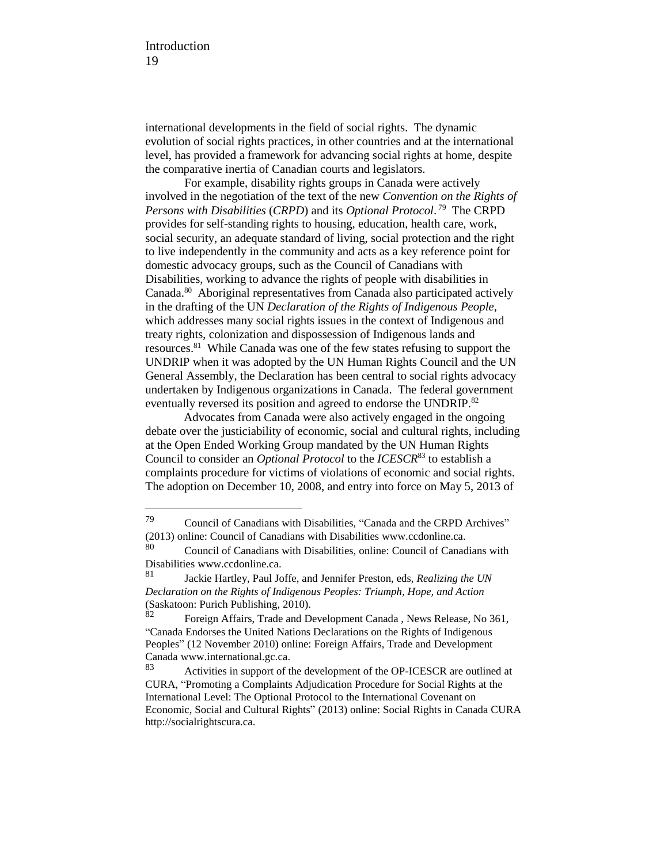international developments in the field of social rights. The dynamic evolution of social rights practices, in other countries and at the international level, has provided a framework for advancing social rights at home, despite the comparative inertia of Canadian courts and legislators.

For example, disability rights groups in Canada were actively involved in the negotiation of the text of the new *Convention on the Rights of Persons with Disabilities* (*CRPD*) and its *Optional Protocol*. 79 The CRPD provides for self-standing rights to housing, education, health care, work, social security, an adequate standard of living, social protection and the right to live independently in the community and acts as a key reference point for domestic advocacy groups, such as the Council of Canadians with Disabilities, working to advance the rights of people with disabilities in Canada.<sup>80</sup> Aboriginal representatives from Canada also participated actively in the drafting of the UN *Declaration of the Rights of Indigenous People*, which addresses many social rights issues in the context of Indigenous and treaty rights, colonization and dispossession of Indigenous lands and resources.<sup>81</sup> While Canada was one of the few states refusing to support the UNDRIP when it was adopted by the UN Human Rights Council and the UN General Assembly, the Declaration has been central to social rights advocacy undertaken by Indigenous organizations in Canada. The federal government eventually reversed its position and agreed to endorse the UNDRIP.<sup>82</sup>

Advocates from Canada were also actively engaged in the ongoing debate over the justiciability of economic, social and cultural rights, including at the Open Ended Working Group mandated by the UN Human Rights Council to consider an *Optional Protocol* to the *ICESCR*<sup>83</sup> to establish a complaints procedure for victims of violations of economic and social rights. The adoption on December 10, 2008, and entry into force on May 5, 2013 of

<sup>79</sup> Council of Canadians with Disabilities, "Canada and the CRPD Archives" (2013) online: Council of Canadians with Disabilities www.ccdonline.ca.

<sup>80</sup> Council of Canadians with Disabilities, online: Council of Canadians with Disabilities www.ccdonline.ca.

<sup>81</sup> Jackie Hartley, Paul Joffe, and Jennifer Preston, eds, *Realizing the UN Declaration on the Rights of Indigenous Peoples: Triumph, Hope, and Action* (Saskatoon: Purich Publishing, 2010).<br>82 Easten Affairs, Trade and D

<sup>82</sup> Foreign Affairs, Trade and Development Canada , News Release, No 361, "Canada Endorses the United Nations Declarations on the Rights of Indigenous Peoples" (12 November 2010) online: Foreign Affairs, Trade and Development Canada www.international.gc.ca.

<sup>83</sup> Activities in support of the development of the OP-ICESCR are outlined at CURA, "Promoting a Complaints Adjudication Procedure for Social Rights at the International Level: The Optional Protocol to the International Covenant on Economic, Social and Cultural Rights" (2013) online: Social Rights in Canada CURA [http://socialrightscura.ca.](http://socialrightscura.ca/eng/op-project.html)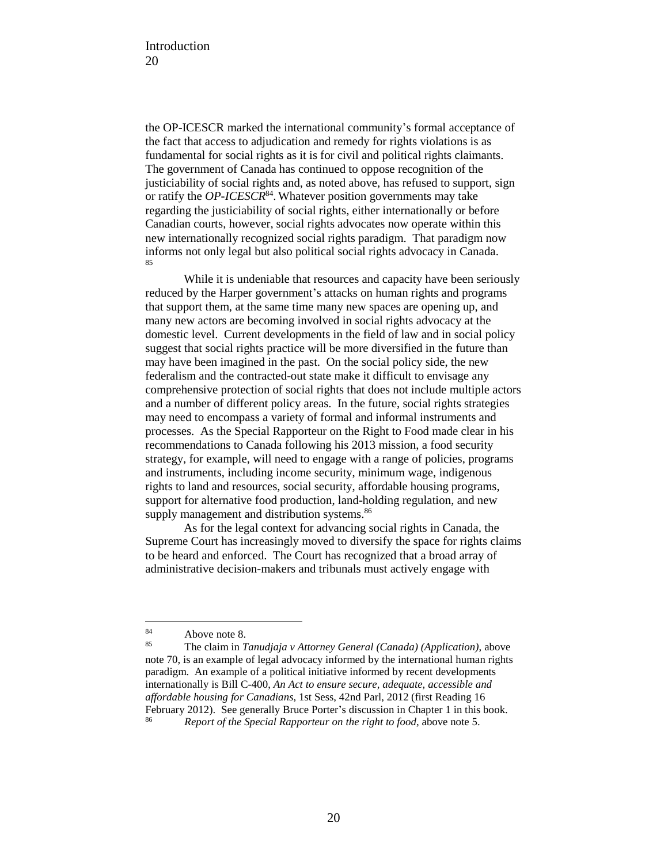the OP-ICESCR marked the international community's formal acceptance of the fact that access to adjudication and remedy for rights violations is as fundamental for social rights as it is for civil and political rights claimants. The government of Canada has continued to oppose recognition of the justiciability of social rights and, as noted above, has refused to support, sign or ratify the *OP-ICESCR*<sup>84</sup> . Whatever position governments may take regarding the justiciability of social rights, either internationally or before Canadian courts, however, social rights advocates now operate within this new internationally recognized social rights paradigm. That paradigm now informs not only legal but also political social rights advocacy in Canada. 85

While it is undeniable that resources and capacity have been seriously reduced by the Harper government's attacks on human rights and programs that support them, at the same time many new spaces are opening up, and many new actors are becoming involved in social rights advocacy at the domestic level. Current developments in the field of law and in social policy suggest that social rights practice will be more diversified in the future than may have been imagined in the past. On the social policy side, the new federalism and the contracted-out state make it difficult to envisage any comprehensive protection of social rights that does not include multiple actors and a number of different policy areas. In the future, social rights strategies may need to encompass a variety of formal and informal instruments and processes. As the Special Rapporteur on the Right to Food made clear in his recommendations to Canada following his 2013 mission, a food security strategy, for example, will need to engage with a range of policies, programs and instruments, including income security, minimum wage, indigenous rights to land and resources, social security, affordable housing programs, support for alternative food production, land-holding regulation, and new supply management and distribution systems.<sup>86</sup>

As for the legal context for advancing social rights in Canada, the Supreme Court has increasingly moved to diversify the space for rights claims to be heard and enforced. The Court has recognized that a broad array of administrative decision-makers and tribunals must actively engage with

<sup>84</sup>  $84$  Above note 8.<br> $85$  The claim in 7

<sup>85</sup> The claim in *Tanudjaja v Attorney General (Canada) (Application)*, above note 70, is an example of legal advocacy informed by the international human rights paradigm. An example of a political initiative informed by recent developments internationally is Bill C-400, *An Act to ensure secure, adequate, accessible and affordable housing for Canadians*, 1st Sess, 42nd Parl, 2012 (first Reading 16 February 2012). See generally Bruce Porter's discussion in Chapter 1 in this book. <sup>86</sup> *Report of the Special Rapporteur on the right to food*, above note 5.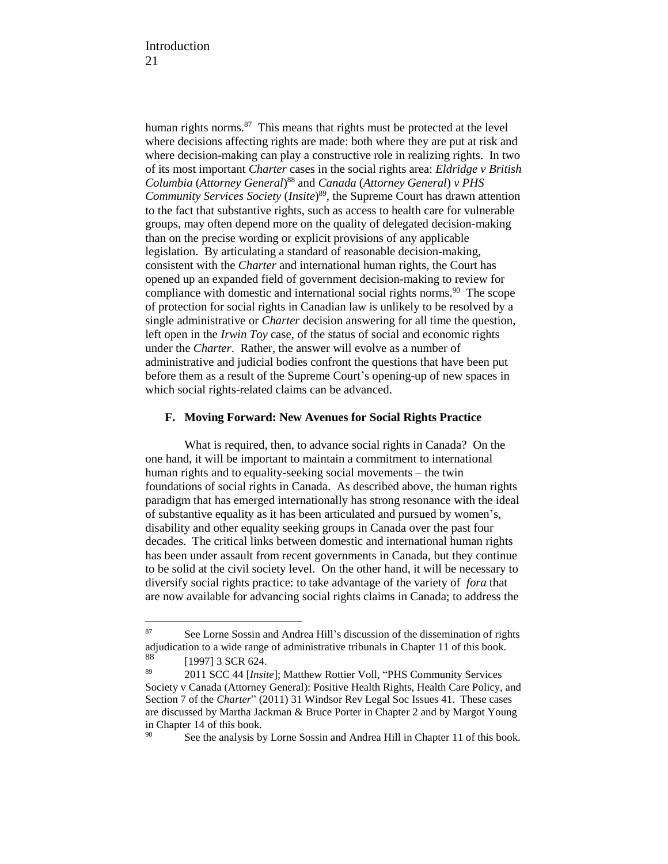human rights norms.<sup>87</sup> This means that rights must be protected at the level where decisions affecting rights are made: both where they are put at risk and where decision-making can play a constructive role in realizing rights. In two of its most important *Charter* cases in the social rights area: *Eldridge v British Columbia* (*Attorney General*) <sup>88</sup> and *Canada* (*Attorney General*) *v PHS Community Services Society* (*Insite*) 89 , the Supreme Court has drawn attention to the fact that substantive rights, such as access to health care for vulnerable groups, may often depend more on the quality of delegated decision-making than on the precise wording or explicit provisions of any applicable legislation. By articulating a standard of reasonable decision-making, consistent with the *Charter* and international human rights, the Court has opened up an expanded field of government decision-making to review for compliance with domestic and international social rights norms.<sup>90</sup> The scope of protection for social rights in Canadian law is unlikely to be resolved by a single administrative or *Charter* decision answering for all time the question, left open in the *Irwin Toy* case, of the status of social and economic rights under the *Charter*. Rather, the answer will evolve as a number of administrative and judicial bodies confront the questions that have been put before them as a result of the Supreme Court's opening-up of new spaces in which social rights-related claims can be advanced.

### **F. Moving Forward: New Avenues for Social Rights Practice**

What is required, then, to advance social rights in Canada? On the one hand, it will be important to maintain a commitment to international human rights and to equality-seeking social movements – the twin foundations of social rights in Canada. As described above, the human rights paradigm that has emerged internationally has strong resonance with the ideal of substantive equality as it has been articulated and pursued by women's, disability and other equality seeking groups in Canada over the past four decades. The critical links between domestic and international human rights has been under assault from recent governments in Canada, but they continue to be solid at the civil society level. On the other hand, it will be necessary to diversify social rights practice: to take advantage of the variety of *fora* that are now available for advancing social rights claims in Canada; to address the

<sup>87</sup> See Lorne Sossin and Andrea Hill's discussion of the dissemination of rights adjudication to a wide range of administrative tribunals in Chapter 11 of this book.

 $\frac{88}{89}$  [1997] 3 SCR 624.

<sup>89</sup> 2011 SCC 44 [*Insite*]; Matthew Rottier Voll, "PHS Community Services Society v Canada (Attorney General): Positive Health Rights, Health Care Policy, and Section 7 of the *Charter*" (2011) 31 Windsor Rev Legal Soc Issues 41. These cases are discussed by Martha Jackman & Bruce Porter in Chapter 2 and by Margot Young in Chapter 14 of this book.

<sup>&</sup>lt;sup>90</sup> See the analysis by Lorne Sossin and Andrea Hill in Chapter 11 of this book.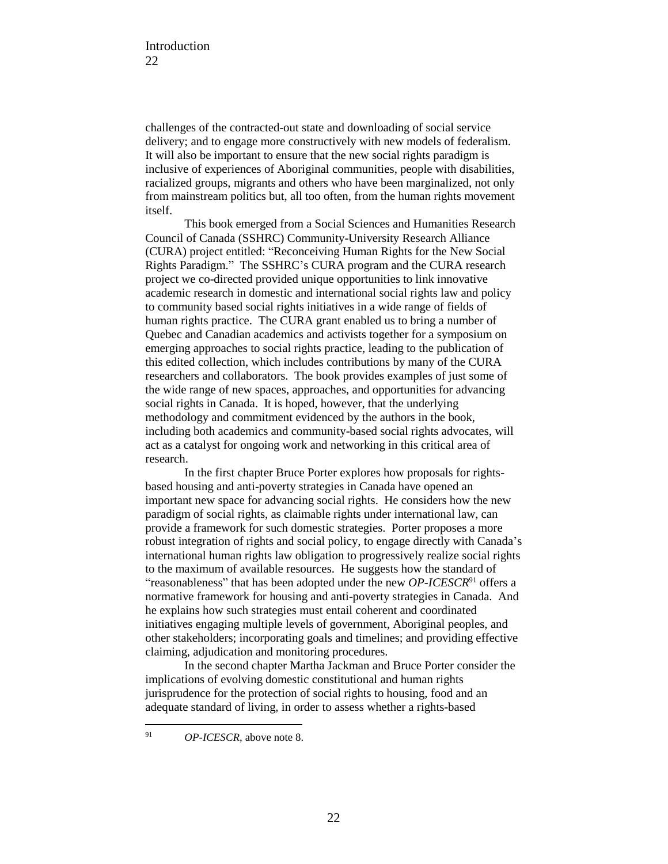challenges of the contracted-out state and downloading of social service delivery; and to engage more constructively with new models of federalism. It will also be important to ensure that the new social rights paradigm is inclusive of experiences of Aboriginal communities, people with disabilities, racialized groups, migrants and others who have been marginalized, not only from mainstream politics but, all too often, from the human rights movement itself.

This book emerged from a Social Sciences and Humanities Research Council of Canada (SSHRC) Community-University Research Alliance (CURA) project entitled: "Reconceiving Human Rights for the New Social Rights Paradigm." The SSHRC's CURA program and the CURA research project we co-directed provided unique opportunities to link innovative academic research in domestic and international social rights law and policy to community based social rights initiatives in a wide range of fields of human rights practice. The CURA grant enabled us to bring a number of Quebec and Canadian academics and activists together for a symposium on emerging approaches to social rights practice, leading to the publication of this edited collection, which includes contributions by many of the CURA researchers and collaborators. The book provides examples of just some of the wide range of new spaces, approaches, and opportunities for advancing social rights in Canada. It is hoped, however, that the underlying methodology and commitment evidenced by the authors in the book, including both academics and community-based social rights advocates, will act as a catalyst for ongoing work and networking in this critical area of research.

In the first chapter Bruce Porter explores how proposals for rightsbased housing and anti-poverty strategies in Canada have opened an important new space for advancing social rights. He considers how the new paradigm of social rights, as claimable rights under international law, can provide a framework for such domestic strategies. Porter proposes a more robust integration of rights and social policy, to engage directly with Canada's international human rights law obligation to progressively realize social rights to the maximum of available resources. He suggests how the standard of "reasonableness" that has been adopted under the new *OP-ICESCR*<sup>91</sup> offers a normative framework for housing and anti-poverty strategies in Canada. And he explains how such strategies must entail coherent and coordinated initiatives engaging multiple levels of government, Aboriginal peoples, and other stakeholders; incorporating goals and timelines; and providing effective claiming, adjudication and monitoring procedures.

In the second chapter Martha Jackman and Bruce Porter consider the implications of evolving domestic constitutional and human rights jurisprudence for the protection of social rights to housing, food and an adequate standard of living, in order to assess whether a rights-based

<sup>91</sup> *OP-ICESCR*, above note 8.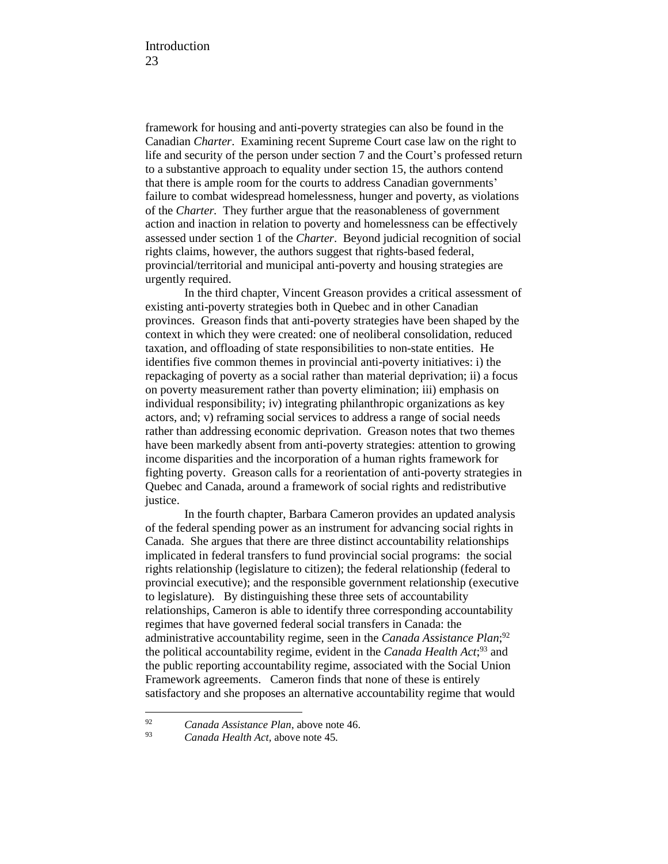framework for housing and anti-poverty strategies can also be found in the Canadian *Charter*. Examining recent Supreme Court case law on the right to life and security of the person under section 7 and the Court's professed return to a substantive approach to equality under section 15, the authors contend that there is ample room for the courts to address Canadian governments' failure to combat widespread homelessness, hunger and poverty, as violations of the *Charter.* They further argue that the reasonableness of government action and inaction in relation to poverty and homelessness can be effectively assessed under section 1 of the *Charter*. Beyond judicial recognition of social rights claims, however, the authors suggest that rights-based federal, provincial/territorial and municipal anti-poverty and housing strategies are urgently required.

In the third chapter, Vincent Greason provides a critical assessment of existing anti-poverty strategies both in Quebec and in other Canadian provinces. Greason finds that anti-poverty strategies have been shaped by the context in which they were created: one of neoliberal consolidation, reduced taxation, and offloading of state responsibilities to non-state entities. He identifies five common themes in provincial anti-poverty initiatives: i) the repackaging of poverty as a social rather than material deprivation; ii) a focus on poverty measurement rather than poverty elimination; iii) emphasis on individual responsibility; iv) integrating philanthropic organizations as key actors, and; v) reframing social services to address a range of social needs rather than addressing economic deprivation. Greason notes that two themes have been markedly absent from anti-poverty strategies: attention to growing income disparities and the incorporation of a human rights framework for fighting poverty. Greason calls for a reorientation of anti-poverty strategies in Quebec and Canada, around a framework of social rights and redistributive justice.

In the fourth chapter, Barbara Cameron provides an updated analysis of the federal spending power as an instrument for advancing social rights in Canada. She argues that there are three distinct accountability relationships implicated in federal transfers to fund provincial social programs: the social rights relationship (legislature to citizen); the federal relationship (federal to provincial executive); and the responsible government relationship (executive to legislature). By distinguishing these three sets of accountability relationships, Cameron is able to identify three corresponding accountability regimes that have governed federal social transfers in Canada: the administrative accountability regime, seen in the *Canada Assistance Plan*; 92 the political accountability regime, evident in the *Canada Health Act*; <sup>93</sup> and the public reporting accountability regime, associated with the Social Union Framework agreements. Cameron finds that none of these is entirely satisfactory and she proposes an alternative accountability regime that would

<sup>92</sup> <sup>92</sup> *Canada Assistance Plan*, above note 46.

<sup>93</sup> *Canada Health Act,* above note 45*.*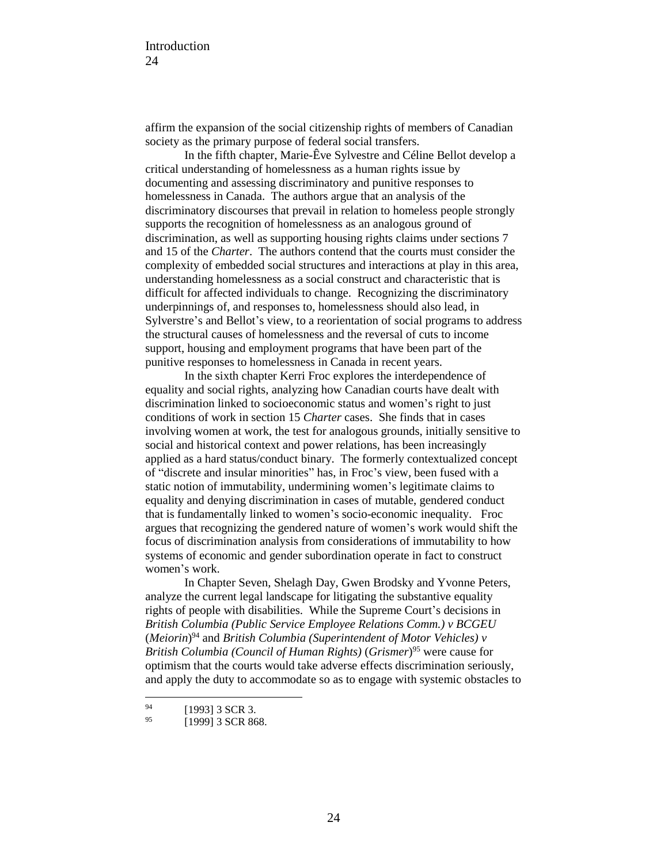affirm the expansion of the social citizenship rights of members of Canadian society as the primary purpose of federal social transfers.

In the fifth chapter, Marie-Êve Sylvestre and Céline Bellot develop a critical understanding of homelessness as a human rights issue by documenting and assessing discriminatory and punitive responses to homelessness in Canada. The authors argue that an analysis of the discriminatory discourses that prevail in relation to homeless people strongly supports the recognition of homelessness as an analogous ground of discrimination, as well as supporting housing rights claims under sections 7 and 15 of the *Charter*. The authors contend that the courts must consider the complexity of embedded social structures and interactions at play in this area, understanding homelessness as a social construct and characteristic that is difficult for affected individuals to change. Recognizing the discriminatory underpinnings of, and responses to, homelessness should also lead, in Sylverstre's and Bellot's view, to a reorientation of social programs to address the structural causes of homelessness and the reversal of cuts to income support, housing and employment programs that have been part of the punitive responses to homelessness in Canada in recent years.

In the sixth chapter Kerri Froc explores the interdependence of equality and social rights, analyzing how Canadian courts have dealt with discrimination linked to socioeconomic status and women's right to just conditions of work in section 15 *Charter* cases. She finds that in cases involving women at work, the test for analogous grounds, initially sensitive to social and historical context and power relations, has been increasingly applied as a hard status/conduct binary. The formerly contextualized concept of "discrete and insular minorities" has, in Froc's view, been fused with a static notion of immutability, undermining women's legitimate claims to equality and denying discrimination in cases of mutable, gendered conduct that is fundamentally linked to women's socio-economic inequality. Froc argues that recognizing the gendered nature of women's work would shift the focus of discrimination analysis from considerations of immutability to how systems of economic and gender subordination operate in fact to construct women's work.

In Chapter Seven, Shelagh Day, Gwen Brodsky and Yvonne Peters, analyze the current legal landscape for litigating the substantive equality rights of people with disabilities. While the Supreme Court's decisions in *British Columbia (Public Service Employee Relations Comm.) v BCGEU* (*Meiorin*) <sup>94</sup> and *British Columbia (Superintendent of Motor Vehicles) v British Columbia (Council of Human Rights)* (*Grismer*) <sup>95</sup> were cause for optimism that the courts would take adverse effects discrimination seriously, and apply the duty to accommodate so as to engage with systemic obstacles to

<sup>94</sup>  $^{94}$  [1993] 3 SCR 3.<br>  $^{95}$  [1000] 2 SCR 96

<sup>[1999] 3</sup> SCR 868.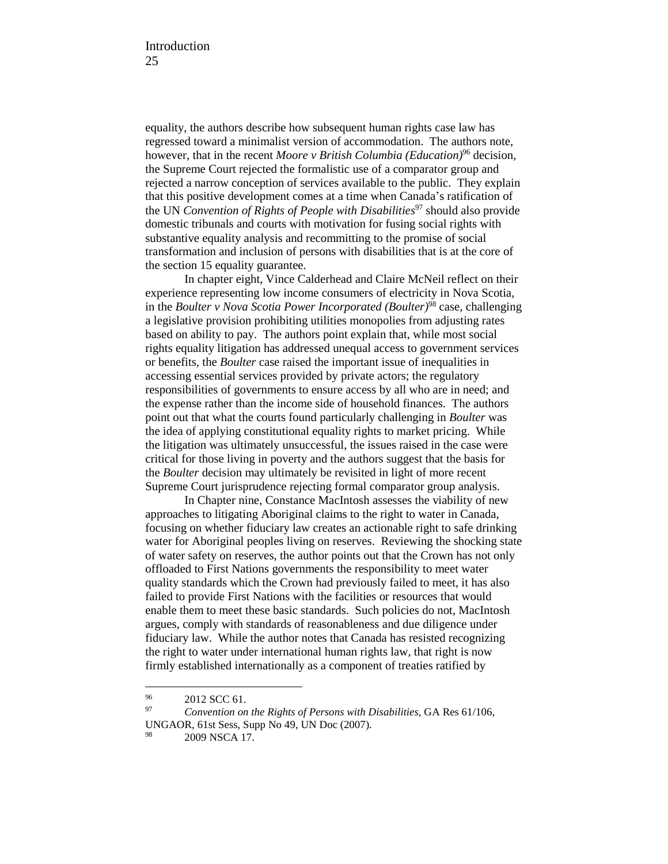equality, the authors describe how subsequent human rights case law has regressed toward a minimalist version of accommodation. The authors note, however, that in the recent *Moore v British Columbia (Education)*<sup>96</sup> decision, the Supreme Court rejected the formalistic use of a comparator group and rejected a narrow conception of services available to the public. They explain that this positive development comes at a time when Canada's ratification of the UN *Convention of Rights of People with Disabilities*<sup>97</sup> should also provide domestic tribunals and courts with motivation for fusing social rights with substantive equality analysis and recommitting to the promise of social transformation and inclusion of persons with disabilities that is at the core of the section 15 equality guarantee.

In chapter eight, Vince Calderhead and Claire McNeil reflect on their experience representing low income consumers of electricity in Nova Scotia, in the *Boulter v Nova Scotia Power Incorporated (Boulter)*<sup>98</sup> case, challenging a legislative provision prohibiting utilities monopolies from adjusting rates based on ability to pay. The authors point explain that, while most social rights equality litigation has addressed unequal access to government services or benefits, the *Boulter* case raised the important issue of inequalities in accessing essential services provided by private actors; the regulatory responsibilities of governments to ensure access by all who are in need; and the expense rather than the income side of household finances. The authors point out that what the courts found particularly challenging in *Boulter* was the idea of applying constitutional equality rights to market pricing. While the litigation was ultimately unsuccessful, the issues raised in the case were critical for those living in poverty and the authors suggest that the basis for the *Boulter* decision may ultimately be revisited in light of more recent Supreme Court jurisprudence rejecting formal comparator group analysis.

In Chapter nine, Constance MacIntosh assesses the viability of new approaches to litigating Aboriginal claims to the right to water in Canada, focusing on whether fiduciary law creates an actionable right to safe drinking water for Aboriginal peoples living on reserves. Reviewing the shocking state of water safety on reserves, the author points out that the Crown has not only offloaded to First Nations governments the responsibility to meet water quality standards which the Crown had previously failed to meet, it has also failed to provide First Nations with the facilities or resources that would enable them to meet these basic standards. Such policies do not, MacIntosh argues, comply with standards of reasonableness and due diligence under fiduciary law. While the author notes that Canada has resisted recognizing the right to water under international human rights law, that right is now firmly established internationally as a component of treaties ratified by

 $^{96}$  2012 SCC 61.

<sup>97</sup> *Convention on the Rights of Persons with Disabilities,* GA Res 61/106, UNGAOR, 61st Sess, Supp No 49, UN Doc (2007).

<sup>98 2009</sup> NSCA 17.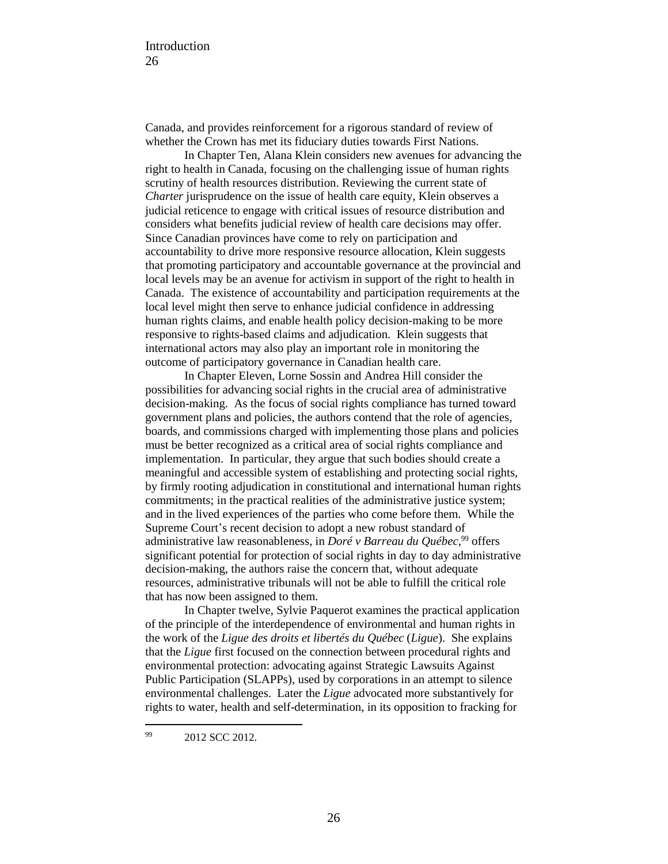Canada, and provides reinforcement for a rigorous standard of review of whether the Crown has met its fiduciary duties towards First Nations.

In Chapter Ten, Alana Klein considers new avenues for advancing the right to health in Canada, focusing on the challenging issue of human rights scrutiny of health resources distribution. Reviewing the current state of *Charter* jurisprudence on the issue of health care equity, Klein observes a judicial reticence to engage with critical issues of resource distribution and considers what benefits judicial review of health care decisions may offer. Since Canadian provinces have come to rely on participation and accountability to drive more responsive resource allocation, Klein suggests that promoting participatory and accountable governance at the provincial and local levels may be an avenue for activism in support of the right to health in Canada. The existence of accountability and participation requirements at the local level might then serve to enhance judicial confidence in addressing human rights claims, and enable health policy decision-making to be more responsive to rights-based claims and adjudication. Klein suggests that international actors may also play an important role in monitoring the outcome of participatory governance in Canadian health care.

In Chapter Eleven, Lorne Sossin and Andrea Hill consider the possibilities for advancing social rights in the crucial area of administrative decision-making. As the focus of social rights compliance has turned toward government plans and policies, the authors contend that the role of agencies, boards, and commissions charged with implementing those plans and policies must be better recognized as a critical area of social rights compliance and implementation. In particular, they argue that such bodies should create a meaningful and accessible system of establishing and protecting social rights, by firmly rooting adjudication in constitutional and international human rights commitments; in the practical realities of the administrative justice system; and in the lived experiences of the parties who come before them. While the Supreme Court's recent decision to adopt a new robust standard of administrative law reasonableness, in *Doré v Barreau du Québec*, <sup>99</sup> offers significant potential for protection of social rights in day to day administrative decision-making, the authors raise the concern that, without adequate resources, administrative tribunals will not be able to fulfill the critical role that has now been assigned to them.

In Chapter twelve, Sylvie Paquerot examines the practical application of the principle of the interdependence of environmental and human rights in the work of the *Ligue des droits et libertés du Québec* (*Ligue*). She explains that the *Ligue* first focused on the connection between procedural rights and environmental protection: advocating against Strategic Lawsuits Against Public Participation (SLAPPs), used by corporations in an attempt to silence environmental challenges. Later the *Ligue* advocated more substantively for rights to water, health and self-determination, in its opposition to fracking for

<sup>99</sup> 2012 SCC 2012.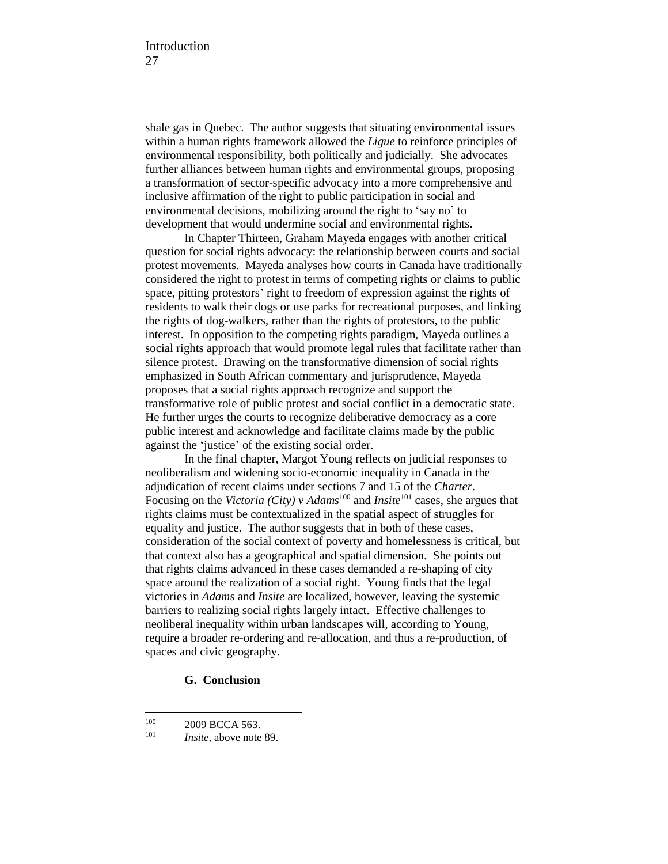shale gas in Quebec. The author suggests that situating environmental issues within a human rights framework allowed the *Ligue* to reinforce principles of environmental responsibility, both politically and judicially. She advocates further alliances between human rights and environmental groups, proposing a transformation of sector-specific advocacy into a more comprehensive and inclusive affirmation of the right to public participation in social and environmental decisions, mobilizing around the right to 'say no' to development that would undermine social and environmental rights.

In Chapter Thirteen, Graham Mayeda engages with another critical question for social rights advocacy: the relationship between courts and social protest movements. Mayeda analyses how courts in Canada have traditionally considered the right to protest in terms of competing rights or claims to public space, pitting protestors' right to freedom of expression against the rights of residents to walk their dogs or use parks for recreational purposes, and linking the rights of dog-walkers, rather than the rights of protestors, to the public interest. In opposition to the competing rights paradigm, Mayeda outlines a social rights approach that would promote legal rules that facilitate rather than silence protest. Drawing on the transformative dimension of social rights emphasized in South African commentary and jurisprudence, Mayeda proposes that a social rights approach recognize and support the transformative role of public protest and social conflict in a democratic state. He further urges the courts to recognize deliberative democracy as a core public interest and acknowledge and facilitate claims made by the public against the 'justice' of the existing social order.

In the final chapter, Margot Young reflects on judicial responses to neoliberalism and widening socio-economic inequality in Canada in the adjudication of recent claims under sections 7 and 15 of the *Charter*. Focusing on the *Victoria (City) v Adams*<sup>100</sup> and *Insite*<sup>101</sup> cases, she argues that rights claims must be contextualized in the spatial aspect of struggles for equality and justice. The author suggests that in both of these cases, consideration of the social context of poverty and homelessness is critical, but that context also has a geographical and spatial dimension. She points out that rights claims advanced in these cases demanded a re-shaping of city space around the realization of a social right. Young finds that the legal victories in *Adams* and *Insite* are localized, however, leaving the systemic barriers to realizing social rights largely intact. Effective challenges to neoliberal inequality within urban landscapes will, according to Young, require a broader re-ordering and re-allocation, and thus a re-production, of spaces and civic geography.

### **G. Conclusion**

 $^{100}$  2009 BCCA 563.<br> $I_{\text{noise}}$  hove note

*Insite*, above note 89.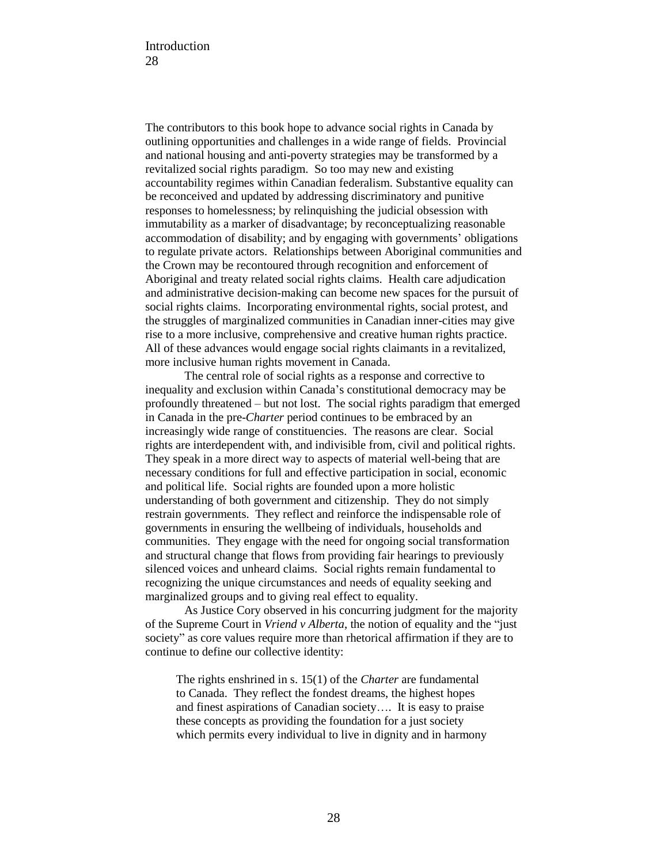The contributors to this book hope to advance social rights in Canada by outlining opportunities and challenges in a wide range of fields. Provincial and national housing and anti-poverty strategies may be transformed by a revitalized social rights paradigm. So too may new and existing accountability regimes within Canadian federalism. Substantive equality can be reconceived and updated by addressing discriminatory and punitive responses to homelessness; by relinquishing the judicial obsession with immutability as a marker of disadvantage; by reconceptualizing reasonable accommodation of disability; and by engaging with governments' obligations to regulate private actors. Relationships between Aboriginal communities and the Crown may be recontoured through recognition and enforcement of Aboriginal and treaty related social rights claims. Health care adjudication and administrative decision-making can become new spaces for the pursuit of social rights claims. Incorporating environmental rights, social protest, and the struggles of marginalized communities in Canadian inner-cities may give rise to a more inclusive, comprehensive and creative human rights practice. All of these advances would engage social rights claimants in a revitalized, more inclusive human rights movement in Canada.

The central role of social rights as a response and corrective to inequality and exclusion within Canada's constitutional democracy may be profoundly threatened – but not lost. The social rights paradigm that emerged in Canada in the pre-*Charter* period continues to be embraced by an increasingly wide range of constituencies. The reasons are clear. Social rights are interdependent with, and indivisible from, civil and political rights. They speak in a more direct way to aspects of material well-being that are necessary conditions for full and effective participation in social, economic and political life. Social rights are founded upon a more holistic understanding of both government and citizenship. They do not simply restrain governments. They reflect and reinforce the indispensable role of governments in ensuring the wellbeing of individuals, households and communities. They engage with the need for ongoing social transformation and structural change that flows from providing fair hearings to previously silenced voices and unheard claims. Social rights remain fundamental to recognizing the unique circumstances and needs of equality seeking and marginalized groups and to giving real effect to equality.

As Justice Cory observed in his concurring judgment for the majority of the Supreme Court in *Vriend v Alberta*, the notion of equality and the "just society" as core values require more than rhetorical affirmation if they are to continue to define our collective identity:

The rights enshrined in s. 15(1) of the *Charter* are fundamental to Canada. They reflect the fondest dreams, the highest hopes and finest aspirations of Canadian society…. It is easy to praise these concepts as providing the foundation for a just society which permits every individual to live in dignity and in harmony